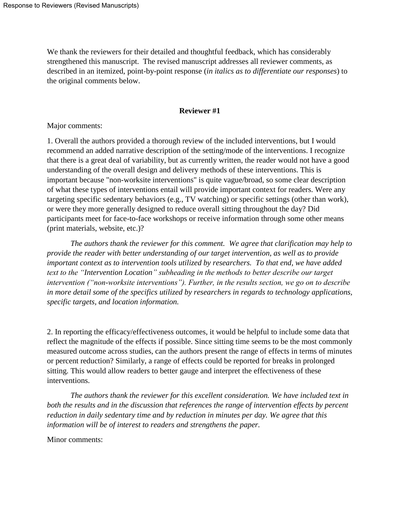We thank the reviewers for their detailed and thoughtful feedback, which has considerably strengthened this manuscript. The revised manuscript addresses all reviewer comments, as described in an itemized, point-by-point response (*in italics as to differentiate our responses*) to the original comments below.

## **Reviewer #1**

Major comments:

1. Overall the authors provided a thorough review of the included interventions, but I would recommend an added narrative description of the setting/mode of the interventions. I recognize that there is a great deal of variability, but as currently written, the reader would not have a good understanding of the overall design and delivery methods of these interventions. This is important because "non-worksite interventions" is quite vague/broad, so some clear description of what these types of interventions entail will provide important context for readers. Were any targeting specific sedentary behaviors (e.g., TV watching) or specific settings (other than work), or were they more generally designed to reduce overall sitting throughout the day? Did participants meet for face-to-face workshops or receive information through some other means (print materials, website, etc.)?

*The authors thank the reviewer for this comment. We agree that clarification may help to provide the reader with better understanding of our target intervention, as well as to provide important context as to intervention tools utilized by researchers. To that end, we have added text to the "Intervention Location" subheading in the methods to better describe our target intervention ("non-worksite interventions"). Further, in the results section, we go on to describe in more detail some of the specifics utilized by researchers in regards to technology applications, specific targets, and location information.* 

2. In reporting the efficacy/effectiveness outcomes, it would be helpful to include some data that reflect the magnitude of the effects if possible. Since sitting time seems to be the most commonly measured outcome across studies, can the authors present the range of effects in terms of minutes or percent reduction? Similarly, a range of effects could be reported for breaks in prolonged sitting. This would allow readers to better gauge and interpret the effectiveness of these interventions.

*The authors thank the reviewer for this excellent consideration. We have included text in both the results and in the discussion that references the range of intervention effects by percent reduction in daily sedentary time and by reduction in minutes per day. We agree that this information will be of interest to readers and strengthens the paper.*

Minor comments: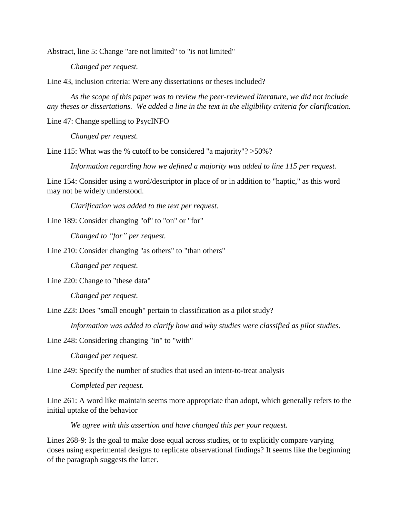Abstract, line 5: Change "are not limited" to "is not limited"

*Changed per request.*

Line 43, inclusion criteria: Were any dissertations or theses included?

*As the scope of this paper was to review the peer-reviewed literature, we did not include any theses or dissertations. We added a line in the text in the eligibility criteria for clarification.* 

Line 47: Change spelling to PsycINFO

*Changed per request.*

Line 115: What was the % cutoff to be considered "a majority"? > 50%?

*Information regarding how we defined a majority was added to line 115 per request.*

Line 154: Consider using a word/descriptor in place of or in addition to "haptic," as this word may not be widely understood.

*Clarification was added to the text per request.*

Line 189: Consider changing "of" to "on" or "for"

*Changed to "for" per request.*

Line 210: Consider changing "as others" to "than others"

*Changed per request.*

Line 220: Change to "these data"

*Changed per request.*

Line 223: Does "small enough" pertain to classification as a pilot study?

*Information was added to clarify how and why studies were classified as pilot studies.*

Line 248: Considering changing "in" to "with"

*Changed per request.*

Line 249: Specify the number of studies that used an intent-to-treat analysis

*Completed per request.*

Line 261: A word like maintain seems more appropriate than adopt, which generally refers to the initial uptake of the behavior

*We agree with this assertion and have changed this per your request.*

Lines 268-9: Is the goal to make dose equal across studies, or to explicitly compare varying doses using experimental designs to replicate observational findings? It seems like the beginning of the paragraph suggests the latter.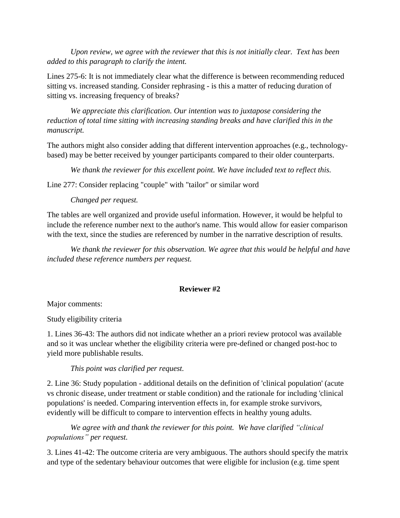*Upon review, we agree with the reviewer that this is not initially clear. Text has been added to this paragraph to clarify the intent.*

Lines 275-6: It is not immediately clear what the difference is between recommending reduced sitting vs. increased standing. Consider rephrasing - is this a matter of reducing duration of sitting vs. increasing frequency of breaks?

*We appreciate this clarification. Our intention was to juxtapose considering the reduction of total time sitting with increasing standing breaks and have clarified this in the manuscript.*

The authors might also consider adding that different intervention approaches (e.g., technologybased) may be better received by younger participants compared to their older counterparts.

*We thank the reviewer for this excellent point. We have included text to reflect this.*

Line 277: Consider replacing "couple" with "tailor" or similar word

# *Changed per request.*

The tables are well organized and provide useful information. However, it would be helpful to include the reference number next to the author's name. This would allow for easier comparison with the text, since the studies are referenced by number in the narrative description of results.

*We thank the reviewer for this observation. We agree that this would be helpful and have included these reference numbers per request.*

# **Reviewer #2**

Major comments:

Study eligibility criteria

1. Lines 36-43: The authors did not indicate whether an a priori review protocol was available and so it was unclear whether the eligibility criteria were pre-defined or changed post-hoc to yield more publishable results.

## *This point was clarified per request.*

2. Line 36: Study population - additional details on the definition of 'clinical population' (acute vs chronic disease, under treatment or stable condition) and the rationale for including 'clinical populations' is needed. Comparing intervention effects in, for example stroke survivors, evidently will be difficult to compare to intervention effects in healthy young adults.

*We agree with and thank the reviewer for this point. We have clarified "clinical populations" per request.*

3. Lines 41-42: The outcome criteria are very ambiguous. The authors should specify the matrix and type of the sedentary behaviour outcomes that were eligible for inclusion (e.g. time spent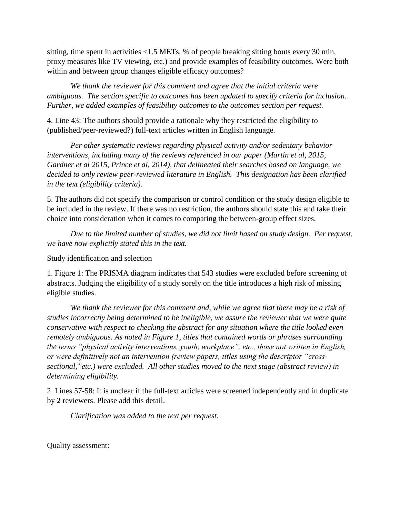sitting, time spent in activities <1.5 METs, % of people breaking sitting bouts every 30 min, proxy measures like TV viewing, etc.) and provide examples of feasibility outcomes. Were both within and between group changes eligible efficacy outcomes?

*We thank the reviewer for this comment and agree that the initial criteria were ambiguous. The section specific to outcomes has been updated to specify criteria for inclusion. Further, we added examples of feasibility outcomes to the outcomes section per request.* 

4. Line 43: The authors should provide a rationale why they restricted the eligibility to (published/peer-reviewed?) full-text articles written in English language.

*Per other systematic reviews regarding physical activity and/or sedentary behavior interventions, including many of the reviews referenced in our paper (Martin et al, 2015, Gardner et al 2015, Prince et al, 2014), that delineated their searches based on language, we decided to only review peer-reviewed literature in English. This designation has been clarified in the text (eligibility criteria).* 

5. The authors did not specify the comparison or control condition or the study design eligible to be included in the review. If there was no restriction, the authors should state this and take their choice into consideration when it comes to comparing the between-group effect sizes.

*Due to the limited number of studies, we did not limit based on study design. Per request, we have now explicitly stated this in the text.*

Study identification and selection

1. Figure 1: The PRISMA diagram indicates that 543 studies were excluded before screening of abstracts. Judging the eligibility of a study sorely on the title introduces a high risk of missing eligible studies.

*We thank the reviewer for this comment and, while we agree that there may be a risk of studies incorrectly being determined to be ineligible, we assure the reviewer that we were quite conservative with respect to checking the abstract for any situation where the title looked even remotely ambiguous. As noted in Figure 1, titles that contained words or phrases surrounding the terms "physical activity interventions, youth, workplace", etc., those not written in English, or were definitively not an intervention (review papers, titles using the descriptor "crosssectional,"etc.) were excluded. All other studies moved to the next stage (abstract review) in determining eligibility.* 

2. Lines 57-58: It is unclear if the full-text articles were screened independently and in duplicate by 2 reviewers. Please add this detail.

*Clarification was added to the text per request.*

Quality assessment: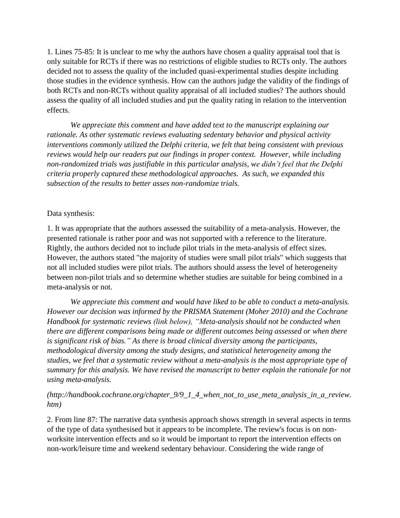1. Lines 75-85: It is unclear to me why the authors have chosen a quality appraisal tool that is only suitable for RCTs if there was no restrictions of eligible studies to RCTs only. The authors decided not to assess the quality of the included quasi-experimental studies despite including those studies in the evidence synthesis. How can the authors judge the validity of the findings of both RCTs and non-RCTs without quality appraisal of all included studies? The authors should assess the quality of all included studies and put the quality rating in relation to the intervention effects.

*We appreciate this comment and have added text to the manuscript explaining our rationale. As other systematic reviews evaluating sedentary behavior and physical activity interventions commonly utilized the Delphi criteria, we felt that being consistent with previous*  reviews would help our readers put our findings in proper context. However, while including *non-randomized trials was justifiable in this particular analysis, we didn't feel that the Delphi criteria properly captured these methodological approaches. As such, we expanded this subsection of the results to better asses non-randomize trials.*

### Data synthesis:

1. It was appropriate that the authors assessed the suitability of a meta-analysis. However, the presented rationale is rather poor and was not supported with a reference to the literature. Rightly, the authors decided not to include pilot trials in the meta-analysis of effect sizes. However, the authors stated "the majority of studies were small pilot trials" which suggests that not all included studies were pilot trials. The authors should assess the level of heterogeneity between non-pilot trials and so determine whether studies are suitable for being combined in a meta-analysis or not.

*We appreciate this comment and would have liked to be able to conduct a meta-analysis. However our decision was informed by the PRISMA Statement (Moher 2010) and the Cochrane Handbook for systematic reviews (link below), "Meta-analysis should not be conducted when there are different comparisons being made or different outcomes being assessed or when there is significant risk of bias." As there is broad clinical diversity among the participants, methodological diversity among the study designs, and statistical heterogeneity among the studies, we feel that a systematic review without a meta-analysis is the most appropriate type of summary for this analysis. We have revised the manuscript to better explain the rationale for not using meta-analysis.*

# *(http://handbook.cochrane.org/chapter\_9/9\_1\_4\_when\_not\_to\_use\_meta\_analysis\_in\_a\_review. htm)*

2. From line 87: The narrative data synthesis approach shows strength in several aspects in terms of the type of data synthesised but it appears to be incomplete. The review's focus is on nonworksite intervention effects and so it would be important to report the intervention effects on non-work/leisure time and weekend sedentary behaviour. Considering the wide range of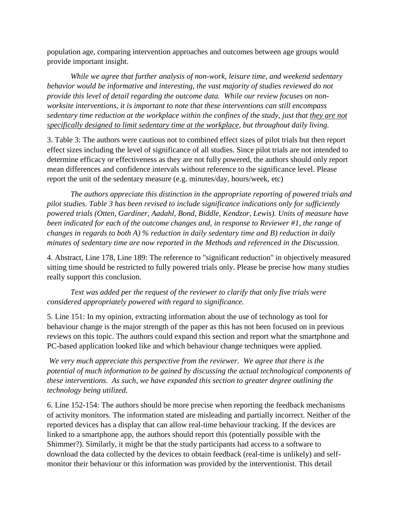population age, comparing intervention approaches and outcomes between age groups would provide important insight.

*While we agree that further analysis of non-work, leisure time, and weekend sedentary behavior would be informative and interesting, the vast majority of studies reviewed do not provide this level of detail regarding the outcome data. While our review focuses on nonworksite interventions, it is important to note that these interventions can still encompass sedentary time reduction at the workplace within the confines of the study, just that they are not specifically designed to limit sedentary time at the workplace, but throughout daily living.* 

3. Table 3: The authors were cautious not to combined effect sizes of pilot trials but then report effect sizes including the level of significance of all studies. Since pilot trials are not intended to determine efficacy or effectiveness as they are not fully powered, the authors should only report mean differences and confidence intervals without reference to the significance level. Please report the unit of the sedentary measure (e.g. minutes/day, hours/week, etc)

*The authors appreciate this distinction in the appropriate reporting of powered trials and pilot studies. Table 3 has been revised to include significance indications only for sufficiently powered trials (Otten, Gardiner, Aadahl, Bond, Biddle, Kendzor, Lewis). Units of measure have been indicated for each of the outcome changes and, in response to Reviewer #1, the range of changes in regards to both A) % reduction in daily sedentary time and B) reduction in daily minutes of sedentary time are now reported in the Methods and referenced in the Discussion.*

4. Abstract, Line 178, Line 189: The reference to "significant reduction" in objectively measured sitting time should be restricted to fully powered trials only. Please be precise how many studies really support this conclusion.

*Text was added per the request of the reviewer to clarify that only five trials were considered appropriately powered with regard to significance.*

5. Line 151: In my opinion, extracting information about the use of technology as tool for behaviour change is the major strength of the paper as this has not been focused on in previous reviews on this topic. The authors could expand this section and report what the smartphone and PC-based application looked like and which behaviour change techniques were applied.

*We very much appreciate this perspective from the reviewer. We agree that there is the potential of much information to be gained by discussing the actual technological components of these interventions. As such, we have expanded this section to greater degree outlining the technology being utilized.* 

6. Line 152-154: The authors should be more precise when reporting the feedback mechanisms of activity monitors. The information stated are misleading and partially incorrect. Neither of the reported devices has a display that can allow real-time behaviour tracking. If the devices are linked to a smartphone app, the authors should report this (potentially possible with the Shimmer?). Similarly, it might be that the study participants had access to a software to download the data collected by the devices to obtain feedback (real-time is unlikely) and selfmonitor their behaviour or this information was provided by the interventionist. This detail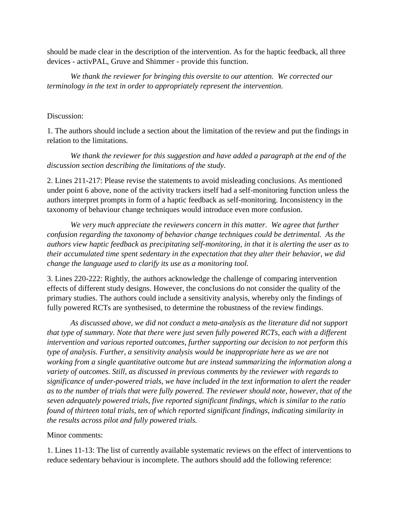should be made clear in the description of the intervention. As for the haptic feedback, all three devices - activPAL, Gruve and Shimmer - provide this function.

*We thank the reviewer for bringing this oversite to our attention. We corrected our terminology in the text in order to appropriately represent the intervention.* 

## Discussion:

1. The authors should include a section about the limitation of the review and put the findings in relation to the limitations.

*We thank the reviewer for this suggestion and have added a paragraph at the end of the discussion section describing the limitations of the study.*

2. Lines 211-217: Please revise the statements to avoid misleading conclusions. As mentioned under point 6 above, none of the activity trackers itself had a self-monitoring function unless the authors interpret prompts in form of a haptic feedback as self-monitoring. Inconsistency in the taxonomy of behaviour change techniques would introduce even more confusion.

*We very much appreciate the reviewers concern in this matter. We agree that further confusion regarding the taxonomy of behavior change techniques could be detrimental. As the authors view haptic feedback as precipitating self-monitoring, in that it is alerting the user as to their accumulated time spent sedentary in the expectation that they alter their behavior, we did change the language used to clarify its use as a monitoring tool.* 

3. Lines 220-222: Rightly, the authors acknowledge the challenge of comparing intervention effects of different study designs. However, the conclusions do not consider the quality of the primary studies. The authors could include a sensitivity analysis, whereby only the findings of fully powered RCTs are synthesised, to determine the robustness of the review findings.

*As discussed above, we did not conduct a meta-analysis as the literature did not support that type of summary. Note that there were just seven fully powered RCTs, each with a different intervention and various reported outcomes, further supporting our decision to not perform this type of analysis. Further, a sensitivity analysis would be inappropriate here as we are not working from a single quantitative outcome but are instead summarizing the information along a variety of outcomes. Still, as discussed in previous comments by the reviewer with regards to significance of under-powered trials, we have included in the text information to alert the reader as to the number of trials that were fully powered. The reviewer should note, however, that of the seven adequately powered trials, five reported significant findings, which is similar to the ratio found of thirteen total trials, ten of which reported significant findings, indicating similarity in the results across pilot and fully powered trials.*

# Minor comments:

1. Lines 11-13: The list of currently available systematic reviews on the effect of interventions to reduce sedentary behaviour is incomplete. The authors should add the following reference: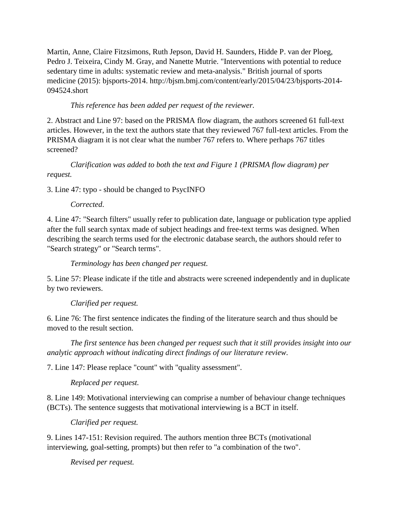Martin, Anne, Claire Fitzsimons, Ruth Jepson, David H. Saunders, Hidde P. van der Ploeg, Pedro J. Teixeira, Cindy M. Gray, and Nanette Mutrie. "Interventions with potential to reduce sedentary time in adults: systematic review and meta-analysis." British journal of sports medicine (2015): bjsports-2014. http://bjsm.bmj.com/content/early/2015/04/23/bjsports-2014- 094524.short

# *This reference has been added per request of the reviewer.*

2. Abstract and Line 97: based on the PRISMA flow diagram, the authors screened 61 full-text articles. However, in the text the authors state that they reviewed 767 full-text articles. From the PRISMA diagram it is not clear what the number 767 refers to. Where perhaps 767 titles screened?

*Clarification was added to both the text and Figure 1 (PRISMA flow diagram) per request.*

3. Line 47: typo - should be changed to PsycINFO

*Corrected*.

4. Line 47: "Search filters" usually refer to publication date, language or publication type applied after the full search syntax made of subject headings and free-text terms was designed. When describing the search terms used for the electronic database search, the authors should refer to "Search strategy" or "Search terms".

*Terminology has been changed per request.*

5. Line 57: Please indicate if the title and abstracts were screened independently and in duplicate by two reviewers.

*Clarified per request.*

6. Line 76: The first sentence indicates the finding of the literature search and thus should be moved to the result section.

*The first sentence has been changed per request such that it still provides insight into our analytic approach without indicating direct findings of our literature review.*

7. Line 147: Please replace "count" with "quality assessment".

*Replaced per request.*

8. Line 149: Motivational interviewing can comprise a number of behaviour change techniques (BCTs). The sentence suggests that motivational interviewing is a BCT in itself.

*Clarified per request.*

9. Lines 147-151: Revision required. The authors mention three BCTs (motivational interviewing, goal-setting, prompts) but then refer to "a combination of the two".

*Revised per request.*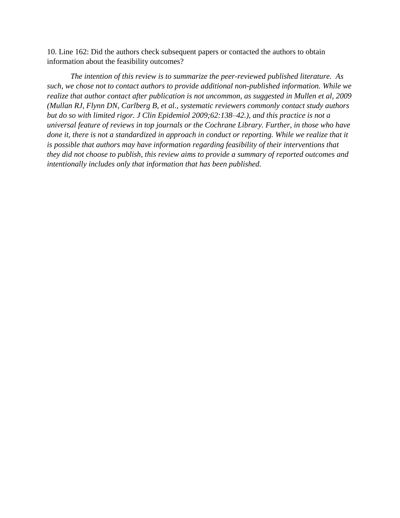10. Line 162: Did the authors check subsequent papers or contacted the authors to obtain information about the feasibility outcomes?

*The intention of this review is to summarize the peer-reviewed published literature. As such, we chose not to contact authors to provide additional non-published information. While we realize that author contact after publication is not uncommon, as suggested in Mullen et al, 2009 (Mullan RJ, Flynn DN, Carlberg B, et al., systematic reviewers commonly contact study authors but do so with limited rigor. J Clin Epidemiol 2009;62:138–42.), and this practice is not a universal feature of reviews in top journals or the Cochrane Library. Further, in those who have done it, there is not a standardized in approach in conduct or reporting. While we realize that it is possible that authors may have information regarding feasibility of their interventions that they did not choose to publish, this review aims to provide a summary of reported outcomes and intentionally includes only that information that has been published.*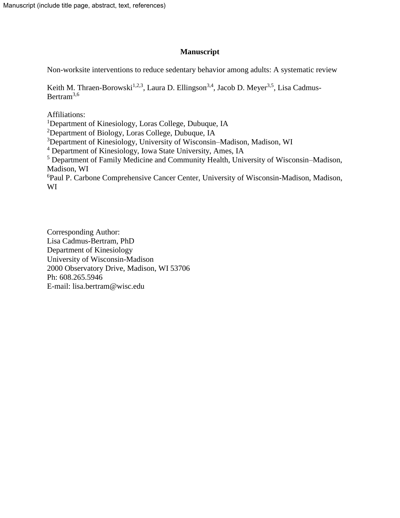# **Manuscript**

Non-worksite interventions to reduce sedentary behavior among adults: A systematic review

Keith M. Thraen-Borowski<sup>1,2,3</sup>, Laura D. Ellingson<sup>3,4</sup>, Jacob D. Meyer<sup>3,5</sup>, Lisa Cadmus-Bertram<sup>3,6</sup>

Affiliations:

<sup>1</sup>Department of Kinesiology, Loras College, Dubuque, IA

<sup>2</sup>Department of Biology, Loras College, Dubuque, IA

<sup>3</sup>Department of Kinesiology, University of Wisconsin–Madison, Madison, WI

<sup>4</sup> Department of Kinesiology, Iowa State University, Ames, IA

<sup>5</sup> Department of Family Medicine and Community Health, University of Wisconsin–Madison, Madison, WI

<sup>6</sup>Paul P. Carbone Comprehensive Cancer Center, University of Wisconsin-Madison, Madison, WI

Corresponding Author: Lisa Cadmus-Bertram, PhD Department of Kinesiology University of Wisconsin-Madison 2000 Observatory Drive, Madison, WI 53706 Ph: 608.265.5946 E-mail: lisa.bertram@wisc.edu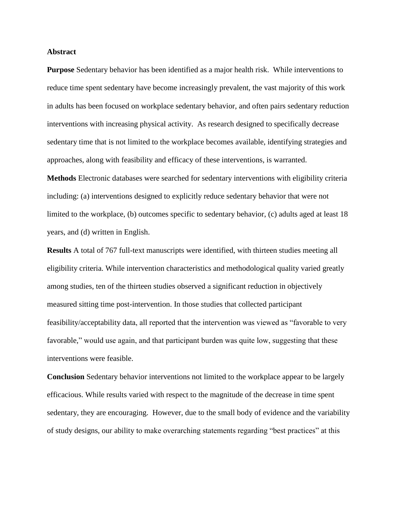### **Abstract**

**Purpose** Sedentary behavior has been identified as a major health risk. While interventions to reduce time spent sedentary have become increasingly prevalent, the vast majority of this work in adults has been focused on workplace sedentary behavior, and often pairs sedentary reduction interventions with increasing physical activity. As research designed to specifically decrease sedentary time that is not limited to the workplace becomes available, identifying strategies and approaches, along with feasibility and efficacy of these interventions, is warranted.

**Methods** Electronic databases were searched for sedentary interventions with eligibility criteria including: (a) interventions designed to explicitly reduce sedentary behavior that were not limited to the workplace, (b) outcomes specific to sedentary behavior, (c) adults aged at least 18 years, and (d) written in English.

**Results** A total of 767 full-text manuscripts were identified, with thirteen studies meeting all eligibility criteria. While intervention characteristics and methodological quality varied greatly among studies, ten of the thirteen studies observed a significant reduction in objectively measured sitting time post-intervention. In those studies that collected participant feasibility/acceptability data, all reported that the intervention was viewed as "favorable to very favorable," would use again, and that participant burden was quite low, suggesting that these interventions were feasible.

**Conclusion** Sedentary behavior interventions not limited to the workplace appear to be largely efficacious. While results varied with respect to the magnitude of the decrease in time spent sedentary, they are encouraging. However, due to the small body of evidence and the variability of study designs, our ability to make overarching statements regarding "best practices" at this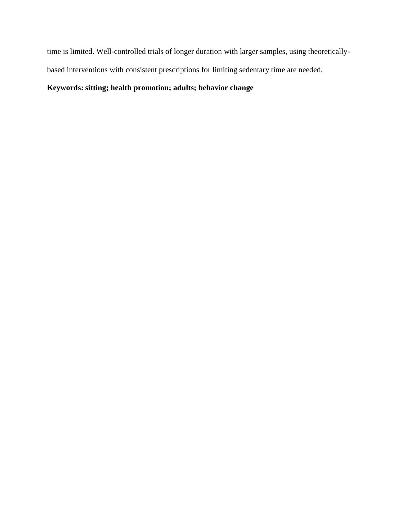time is limited. Well-controlled trials of longer duration with larger samples, using theoreticallybased interventions with consistent prescriptions for limiting sedentary time are needed.

# **Keywords: sitting; health promotion; adults; behavior change**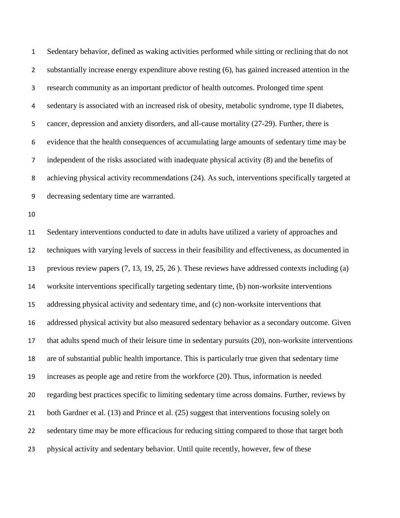Sedentary behavior, defined as waking activities performed while sitting or reclining that do not substantially increase energy expenditure above resting (6), has gained increased attention in the research community as an important predictor of health outcomes. Prolonged time spent sedentary is associated with an increased risk of obesity, metabolic syndrome, type II diabetes, cancer, depression and anxiety disorders, and all-cause mortality (27-29). Further, there is evidence that the health consequences of accumulating large amounts of sedentary time may be independent of the risks associated with inadequate physical activity (8) and the benefits of achieving physical activity recommendations (24). As such, interventions specifically targeted at decreasing sedentary time are warranted. Sedentary interventions conducted to date in adults have utilized a variety of approaches and techniques with varying levels of success in their feasibility and effectiveness, as documented in previous review papers (7, 13, 19, 25, 26 ). These reviews have addressed contexts including (a) worksite interventions specifically targeting sedentary time, (b) non-worksite interventions addressing physical activity and sedentary time, and (c) non-worksite interventions that addressed physical activity but also measured sedentary behavior as a secondary outcome. Given that adults spend much of their leisure time in sedentary pursuits (20), non-worksite interventions are of substantial public health importance. This is particularly true given that sedentary time increases as people age and retire from the workforce (20). Thus, information is needed regarding best practices specific to limiting sedentary time across domains. Further, reviews by both Gardner et al. (13) and Prince et al. (25) suggest that interventions focusing solely on sedentary time may be more efficacious for reducing sitting compared to those that target both physical activity and sedentary behavior. Until quite recently, however, few of these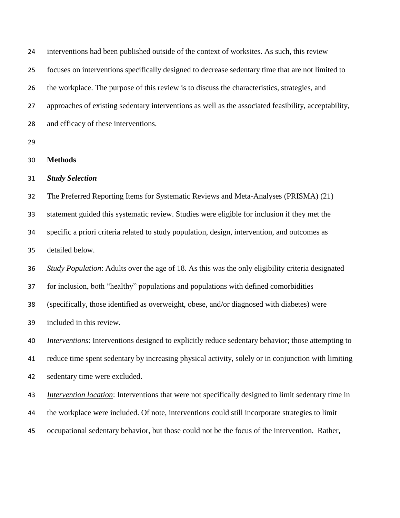interventions had been published outside of the context of worksites. As such, this review focuses on interventions specifically designed to decrease sedentary time that are not limited to the workplace. The purpose of this review is to discuss the characteristics, strategies, and approaches of existing sedentary interventions as well as the associated feasibility, acceptability, and efficacy of these interventions. 

- **Methods**
- *Study Selection*

 The Preferred Reporting Items for Systematic Reviews and Meta-Analyses (PRISMA) (21) statement guided this systematic review. Studies were eligible for inclusion if they met the specific a priori criteria related to study population, design, intervention, and outcomes as detailed below.

*Study Population*: Adults over the age of 18. As this was the only eligibility criteria designated

for inclusion, both "healthy" populations and populations with defined comorbidities

(specifically, those identified as overweight, obese, and/or diagnosed with diabetes) were

included in this review.

 *Interventions*: Interventions designed to explicitly reduce sedentary behavior; those attempting to reduce time spent sedentary by increasing physical activity, solely or in conjunction with limiting

sedentary time were excluded.

 *Intervention location*: Interventions that were not specifically designed to limit sedentary time in the workplace were included. Of note, interventions could still incorporate strategies to limit occupational sedentary behavior, but those could not be the focus of the intervention. Rather,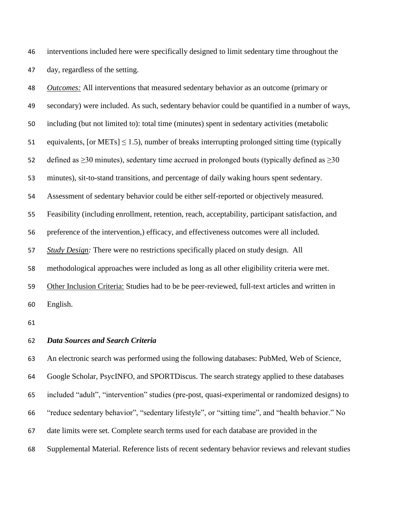interventions included here were specifically designed to limit sedentary time throughout the day, regardless of the setting.

 *Outcomes:* All interventions that measured sedentary behavior as an outcome (primary or secondary) were included. As such, sedentary behavior could be quantified in a number of ways, including (but not limited to): total time (minutes) spent in sedentary activities (metabolic 51 equivalents, [or METs]  $\leq$  1.5), number of breaks interrupting prolonged sitting time (typically 52 defined as  $\geq$ 30 minutes), sedentary time accrued in prolonged bouts (typically defined as  $\geq$ 30 minutes), sit-to-stand transitions, and percentage of daily waking hours spent sedentary. Assessment of sedentary behavior could be either self-reported or objectively measured. Feasibility (including enrollment, retention, reach, acceptability, participant satisfaction, and preference of the intervention,) efficacy, and effectiveness outcomes were all included. *Study Design:* There were no restrictions specifically placed on study design. All methodological approaches were included as long as all other eligibility criteria were met. Other Inclusion Criteria: Studies had to be be peer-reviewed, full-text articles and written in English.

### *Data Sources and Search Criteria*

 An electronic search was performed using the following databases: PubMed, Web of Science, Google Scholar, PsycINFO, and SPORTDiscus. The search strategy applied to these databases included "adult", "intervention" studies (pre-post, quasi-experimental or randomized designs) to "reduce sedentary behavior", "sedentary lifestyle", or "sitting time", and "health behavior." No date limits were set. Complete search terms used for each database are provided in the Supplemental Material. Reference lists of recent sedentary behavior reviews and relevant studies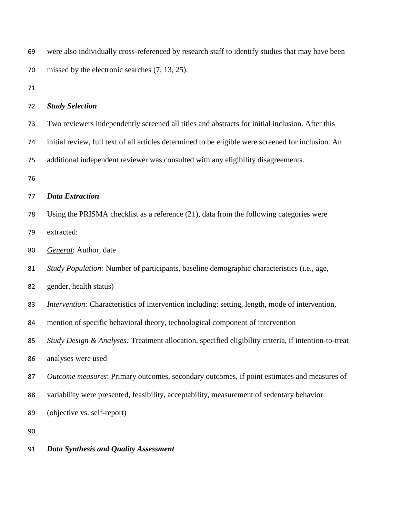| 69 | were also individually cross-referenced by research staff to identify studies that may have been       |
|----|--------------------------------------------------------------------------------------------------------|
| 70 | missed by the electronic searches $(7, 13, 25)$ .                                                      |
| 71 |                                                                                                        |
| 72 | <b>Study Selection</b>                                                                                 |
| 73 | Two reviewers independently screened all titles and abstracts for initial inclusion. After this        |
| 74 | initial review, full text of all articles determined to be eligible were screened for inclusion. An    |
| 75 | additional independent reviewer was consulted with any eligibility disagreements.                      |
| 76 |                                                                                                        |
| 77 | <b>Data Extraction</b>                                                                                 |
| 78 | Using the PRISMA checklist as a reference (21), data from the following categories were                |
| 79 | extracted:                                                                                             |
| 80 | General: Author, date                                                                                  |
| 81 | <b>Study Population:</b> Number of participants, baseline demographic characteristics (i.e., age,      |
| 82 | gender, health status)                                                                                 |
| 83 | <i>Intervention:</i> Characteristics of intervention including: setting, length, mode of intervention, |
| 84 | mention of specific behavioral theory, technological component of intervention                         |
| 85 | Study Design & Analyses: Treatment allocation, specified eligibility criteria, if intention-to-treat   |
| 86 | analyses were used                                                                                     |
| 87 | Outcome measures: Primary outcomes, secondary outcomes, if point estimates and measures of             |
| 88 | variability were presented, feasibility, acceptability, measurement of sedentary behavior              |
| 89 | (objective vs. self-report)                                                                            |
| 90 |                                                                                                        |

*Data Synthesis and Quality Assessment*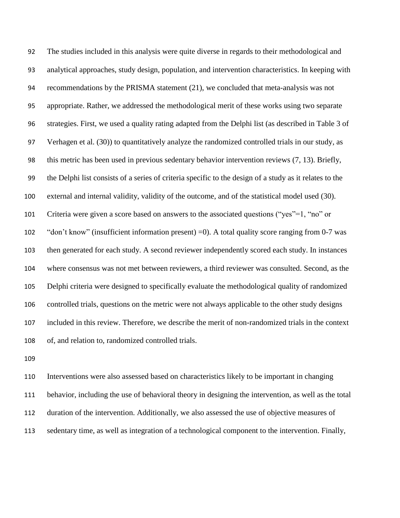The studies included in this analysis were quite diverse in regards to their methodological and analytical approaches, study design, population, and intervention characteristics. In keeping with recommendations by the PRISMA statement (21), we concluded that meta-analysis was not appropriate. Rather, we addressed the methodological merit of these works using two separate strategies. First, we used a quality rating adapted from the Delphi list (as described in Table 3 of Verhagen et al. (30)) to quantitatively analyze the randomized controlled trials in our study, as this metric has been used in previous sedentary behavior intervention reviews (7, 13). Briefly, the Delphi list consists of a series of criteria specific to the design of a study as it relates to the external and internal validity, validity of the outcome, and of the statistical model used (30). Criteria were given a score based on answers to the associated questions ("yes"=1, "no" or "don't know" (insufficient information present) =0). A total quality score ranging from 0-7 was then generated for each study. A second reviewer independently scored each study. In instances where consensus was not met between reviewers, a third reviewer was consulted. Second, as the Delphi criteria were designed to specifically evaluate the methodological quality of randomized controlled trials, questions on the metric were not always applicable to the other study designs included in this review. Therefore, we describe the merit of non-randomized trials in the context of, and relation to, randomized controlled trials.

 Interventions were also assessed based on characteristics likely to be important in changing behavior, including the use of behavioral theory in designing the intervention, as well as the total duration of the intervention. Additionally, we also assessed the use of objective measures of sedentary time, as well as integration of a technological component to the intervention. Finally,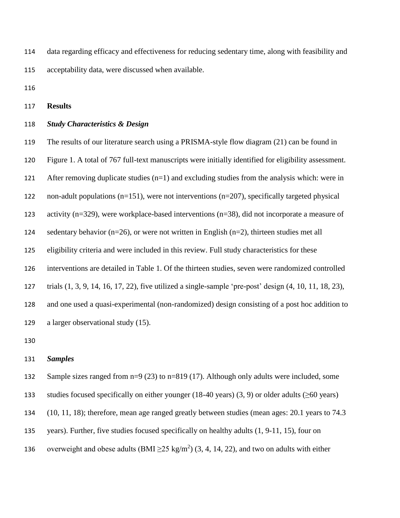data regarding efficacy and effectiveness for reducing sedentary time, along with feasibility and acceptability data, were discussed when available.

**Results**

# *Study Characteristics & Design*

 The results of our literature search using a PRISMA-style flow diagram (21) can be found in Figure 1. A total of 767 full-text manuscripts were initially identified for eligibility assessment. After removing duplicate studies (n=1) and excluding studies from the analysis which: were in non-adult populations (n=151), were not interventions (n=207), specifically targeted physical activity (n=329), were workplace-based interventions (n=38), did not incorporate a measure of 124 sedentary behavior ( $n=26$ ), or were not written in English ( $n=2$ ), thirteen studies met all eligibility criteria and were included in this review. Full study characteristics for these interventions are detailed in Table 1. Of the thirteen studies, seven were randomized controlled trials (1, 3, 9, 14, 16, 17, 22), five utilized a single-sample 'pre-post' design (4, 10, 11, 18, 23), and one used a quasi-experimental (non-randomized) design consisting of a post hoc addition to a larger observational study (15).

## *Samples*

132 Sample sizes ranged from n=9 (23) to n=819 (17). Although only adults were included, some

studies focused specifically on either younger (18-40 years) (3, 9) or older adults (≥60 years)

(10, 11, 18); therefore, mean age ranged greatly between studies (mean ages: 20.1 years to 74.3

years). Further, five studies focused specifically on healthy adults (1, 9-11, 15), four on

136 overweight and obese adults (BMI  $\geq$  25 kg/m<sup>2</sup>) (3, 4, 14, 22), and two on adults with either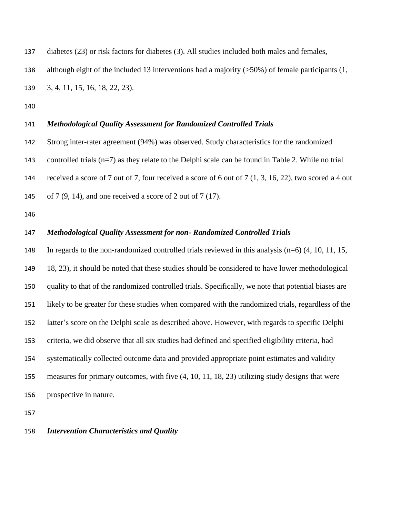| 137 | diabetes ( $23$ ) or risk factors for diabetes ( $3$ ). All studies included both males and females, |
|-----|------------------------------------------------------------------------------------------------------|
| 138 | although eight of the included 13 interventions had a majority $(50\%)$ of female participants (1,   |
| 139 | 3, 4, 11, 15, 16, 18, 22, 23).                                                                       |

137 diabetes (23) or risk for diabetes (3). All studies included both males and females and females and females and females and females and females and females and females and females and females and females and females a

## *Methodological Quality Assessment for Randomized Controlled Trials*

 Strong inter-rater agreement (94%) was observed. Study characteristics for the randomized controlled trials (n=7) as they relate to the Delphi scale can be found in Table 2. While no trial

received a score of 7 out of 7, four received a score of 6 out of 7 (1, 3, 16, 22), two scored a 4 out

of 7 (9, 14), and one received a score of 2 out of 7 (17).

## *Methodological Quality Assessment for non- Randomized Controlled Trials*

 In regards to the non-randomized controlled trials reviewed in this analysis (n=6) (4, 10, 11, 15, 18, 23), it should be noted that these studies should be considered to have lower methodological quality to that of the randomized controlled trials. Specifically, we note that potential biases are likely to be greater for these studies when compared with the randomized trials, regardless of the latter's score on the Delphi scale as described above. However, with regards to specific Delphi criteria, we did observe that all six studies had defined and specified eligibility criteria, had systematically collected outcome data and provided appropriate point estimates and validity measures for primary outcomes, with five (4, 10, 11, 18, 23) utilizing study designs that were prospective in nature.

### *Intervention Characteristics and Quality*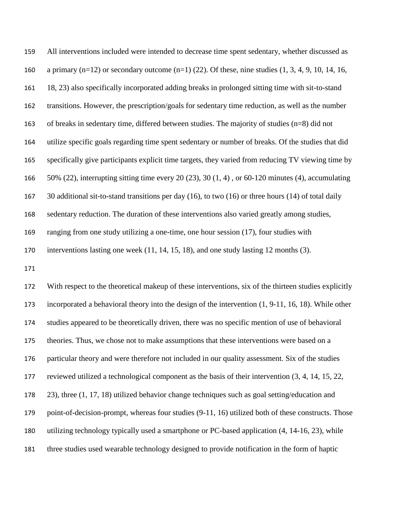All interventions included were intended to decrease time spent sedentary, whether discussed as 160 a primary (n=12) or secondary outcome  $(n=1)$  (22). Of these, nine studies (1, 3, 4, 9, 10, 14, 16, 18, 23) also specifically incorporated adding breaks in prolonged sitting time with sit-to-stand transitions. However, the prescription/goals for sedentary time reduction, as well as the number of breaks in sedentary time, differed between studies. The majority of studies (n=8) did not utilize specific goals regarding time spent sedentary or number of breaks. Of the studies that did specifically give participants explicit time targets, they varied from reducing TV viewing time by 50% (22), interrupting sitting time every 20 (23), 30 (1, 4) , or 60-120 minutes (4), accumulating 30 additional sit-to-stand transitions per day (16), to two (16) or three hours (14) of total daily sedentary reduction. The duration of these interventions also varied greatly among studies, ranging from one study utilizing a one-time, one hour session (17), four studies with interventions lasting one week (11, 14, 15, 18), and one study lasting 12 months (3).

 With respect to the theoretical makeup of these interventions, six of the thirteen studies explicitly incorporated a behavioral theory into the design of the intervention (1, 9-11, 16, 18). While other studies appeared to be theoretically driven, there was no specific mention of use of behavioral theories. Thus, we chose not to make assumptions that these interventions were based on a particular theory and were therefore not included in our quality assessment. Six of the studies reviewed utilized a technological component as the basis of their intervention (3, 4, 14, 15, 22, 23), three (1, 17, 18) utilized behavior change techniques such as goal setting/education and point-of-decision-prompt, whereas four studies (9-11, 16) utilized both of these constructs. Those utilizing technology typically used a smartphone or PC-based application (4, 14-16, 23), while three studies used wearable technology designed to provide notification in the form of haptic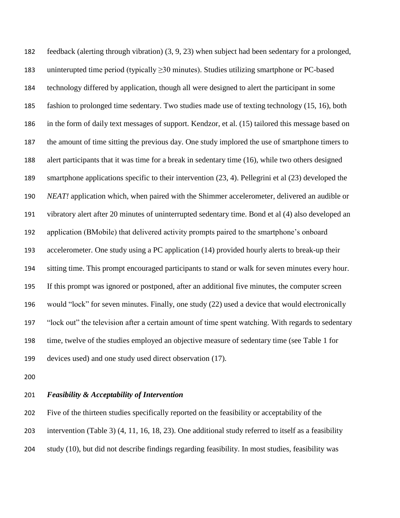feedback (alerting through vibration) (3, 9, 23) when subject had been sedentary for a prolonged, 183 uninterupted time period (typically  $\geq$  30 minutes). Studies utilizing smartphone or PC-based technology differed by application, though all were designed to alert the participant in some fashion to prolonged time sedentary. Two studies made use of texting technology (15, 16), both in the form of daily text messages of support. Kendzor, et al. (15) tailored this message based on the amount of time sitting the previous day. One study implored the use of smartphone timers to alert participants that it was time for a break in sedentary time (16), while two others designed smartphone applications specific to their intervention (23, 4). Pellegrini et al (23) developed the *NEAT!* application which, when paired with the Shimmer accelerometer, delivered an audible or vibratory alert after 20 minutes of uninterrupted sedentary time. Bond et al (4) also developed an application (BMobile) that delivered activity prompts paired to the smartphone's onboard accelerometer. One study using a PC application (14) provided hourly alerts to break-up their sitting time. This prompt encouraged participants to stand or walk for seven minutes every hour. If this prompt was ignored or postponed, after an additional five minutes, the computer screen would "lock" for seven minutes. Finally, one study (22) used a device that would electronically "lock out" the television after a certain amount of time spent watching. With regards to sedentary time, twelve of the studies employed an objective measure of sedentary time (see Table 1 for devices used) and one study used direct observation (17).

*Feasibility & Acceptability of Intervention*

 Five of the thirteen studies specifically reported on the feasibility or acceptability of the intervention (Table 3) (4, 11, 16, 18, 23). One additional study referred to itself as a feasibility study (10), but did not describe findings regarding feasibility. In most studies, feasibility was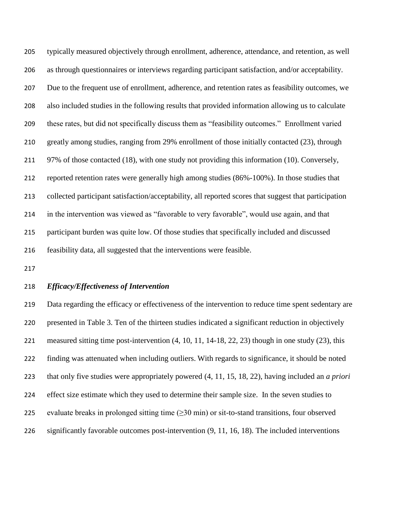typically measured objectively through enrollment, adherence, attendance, and retention, as well as through questionnaires or interviews regarding participant satisfaction, and/or acceptability. Due to the frequent use of enrollment, adherence, and retention rates as feasibility outcomes, we also included studies in the following results that provided information allowing us to calculate these rates, but did not specifically discuss them as "feasibility outcomes." Enrollment varied greatly among studies, ranging from 29% enrollment of those initially contacted (23), through 97% of those contacted (18), with one study not providing this information (10). Conversely, reported retention rates were generally high among studies (86%-100%). In those studies that collected participant satisfaction/acceptability, all reported scores that suggest that participation in the intervention was viewed as "favorable to very favorable", would use again, and that participant burden was quite low. Of those studies that specifically included and discussed feasibility data, all suggested that the interventions were feasible.

### *Efficacy/Effectiveness of Intervention*

 Data regarding the efficacy or effectiveness of the intervention to reduce time spent sedentary are presented in Table 3. Ten of the thirteen studies indicated a significant reduction in objectively measured sitting time post-intervention (4, 10, 11, 14-18, 22, 23) though in one study (23), this finding was attenuated when including outliers. With regards to significance, it should be noted that only five studies were appropriately powered (4, 11, 15, 18, 22), having included an *a priori*  effect size estimate which they used to determine their sample size. In the seven studies to 225 evaluate breaks in prolonged sitting time  $(\geq 30 \text{ min})$  or sit-to-stand transitions, four observed significantly favorable outcomes post-intervention (9, 11, 16, 18). The included interventions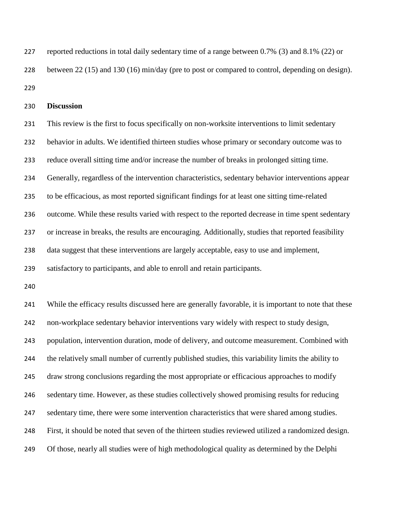reported reductions in total daily sedentary time of a range between 0.7% (3) and 8.1% (22) or between 22 (15) and 130 (16) min/day (pre to post or compared to control, depending on design). 

**Discussion**

 This review is the first to focus specifically on non-worksite interventions to limit sedentary behavior in adults. We identified thirteen studies whose primary or secondary outcome was to reduce overall sitting time and/or increase the number of breaks in prolonged sitting time. Generally, regardless of the intervention characteristics, sedentary behavior interventions appear to be efficacious, as most reported significant findings for at least one sitting time-related outcome. While these results varied with respect to the reported decrease in time spent sedentary or increase in breaks, the results are encouraging. Additionally, studies that reported feasibility data suggest that these interventions are largely acceptable, easy to use and implement, satisfactory to participants, and able to enroll and retain participants.

 While the efficacy results discussed here are generally favorable, it is important to note that these non-workplace sedentary behavior interventions vary widely with respect to study design, population, intervention duration, mode of delivery, and outcome measurement. Combined with the relatively small number of currently published studies, this variability limits the ability to draw strong conclusions regarding the most appropriate or efficacious approaches to modify sedentary time. However, as these studies collectively showed promising results for reducing sedentary time, there were some intervention characteristics that were shared among studies. First, it should be noted that seven of the thirteen studies reviewed utilized a randomized design. Of those, nearly all studies were of high methodological quality as determined by the Delphi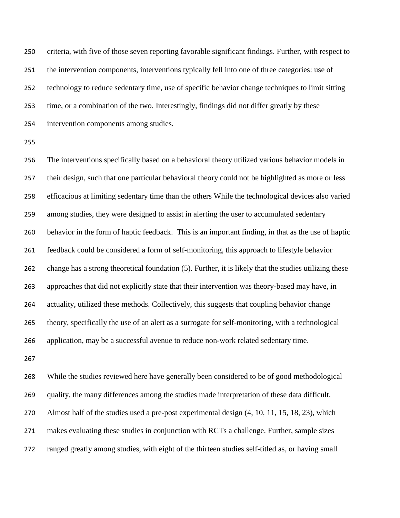criteria, with five of those seven reporting favorable significant findings. Further, with respect to the intervention components, interventions typically fell into one of three categories: use of technology to reduce sedentary time, use of specific behavior change techniques to limit sitting time, or a combination of the two. Interestingly, findings did not differ greatly by these intervention components among studies.

 The interventions specifically based on a behavioral theory utilized various behavior models in their design, such that one particular behavioral theory could not be highlighted as more or less efficacious at limiting sedentary time than the others While the technological devices also varied among studies, they were designed to assist in alerting the user to accumulated sedentary behavior in the form of haptic feedback. This is an important finding, in that as the use of haptic feedback could be considered a form of self-monitoring, this approach to lifestyle behavior change has a strong theoretical foundation (5). Further, it is likely that the studies utilizing these approaches that did not explicitly state that their intervention was theory-based may have, in actuality, utilized these methods. Collectively, this suggests that coupling behavior change theory, specifically the use of an alert as a surrogate for self-monitoring, with a technological application, may be a successful avenue to reduce non-work related sedentary time.

 While the studies reviewed here have generally been considered to be of good methodological quality, the many differences among the studies made interpretation of these data difficult. Almost half of the studies used a pre-post experimental design (4, 10, 11, 15, 18, 23), which makes evaluating these studies in conjunction with RCTs a challenge. Further, sample sizes ranged greatly among studies, with eight of the thirteen studies self-titled as, or having small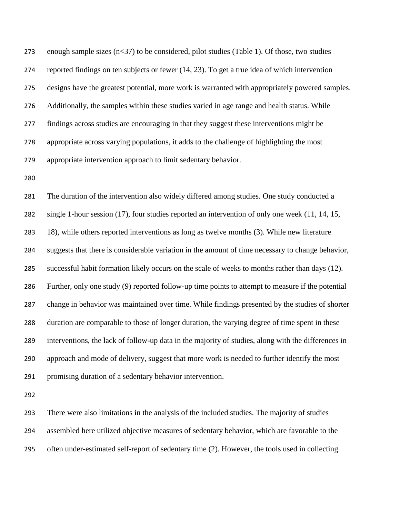273 enough sample sizes  $(n<37)$  to be considered, pilot studies (Table 1). Of those, two studies reported findings on ten subjects or fewer (14, 23). To get a true idea of which intervention designs have the greatest potential, more work is warranted with appropriately powered samples. Additionally, the samples within these studies varied in age range and health status. While findings across studies are encouraging in that they suggest these interventions might be appropriate across varying populations, it adds to the challenge of highlighting the most appropriate intervention approach to limit sedentary behavior.

 The duration of the intervention also widely differed among studies. One study conducted a single 1-hour session (17), four studies reported an intervention of only one week (11, 14, 15, 18), while others reported interventions as long as twelve months (3). While new literature suggests that there is considerable variation in the amount of time necessary to change behavior, successful habit formation likely occurs on the scale of weeks to months rather than days (12). Further, only one study (9) reported follow-up time points to attempt to measure if the potential change in behavior was maintained over time. While findings presented by the studies of shorter duration are comparable to those of longer duration, the varying degree of time spent in these interventions, the lack of follow-up data in the majority of studies, along with the differences in approach and mode of delivery, suggest that more work is needed to further identify the most promising duration of a sedentary behavior intervention.

 There were also limitations in the analysis of the included studies. The majority of studies assembled here utilized objective measures of sedentary behavior, which are favorable to the often under-estimated self-report of sedentary time (2). However, the tools used in collecting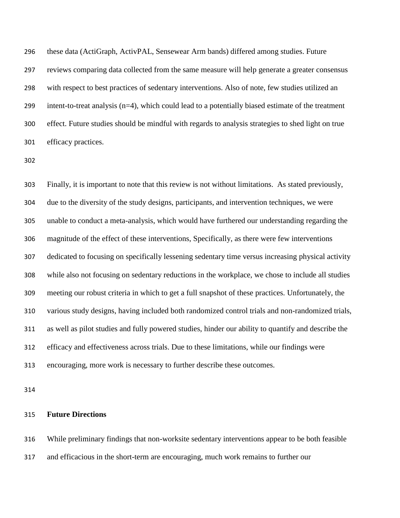these data (ActiGraph, ActivPAL, Sensewear Arm bands) differed among studies. Future reviews comparing data collected from the same measure will help generate a greater consensus with respect to best practices of sedentary interventions. Also of note, few studies utilized an intent-to-treat analysis (n=4), which could lead to a potentially biased estimate of the treatment effect. Future studies should be mindful with regards to analysis strategies to shed light on true efficacy practices.

 Finally, it is important to note that this review is not without limitations. As stated previously, due to the diversity of the study designs, participants, and intervention techniques, we were unable to conduct a meta-analysis, which would have furthered our understanding regarding the magnitude of the effect of these interventions, Specifically, as there were few interventions dedicated to focusing on specifically lessening sedentary time versus increasing physical activity while also not focusing on sedentary reductions in the workplace, we chose to include all studies meeting our robust criteria in which to get a full snapshot of these practices. Unfortunately, the various study designs, having included both randomized control trials and non-randomized trials, as well as pilot studies and fully powered studies, hinder our ability to quantify and describe the efficacy and effectiveness across trials. Due to these limitations, while our findings were encouraging, more work is necessary to further describe these outcomes.

### **Future Directions**

While preliminary findings that non-worksite sedentary interventions appear to be both feasible

and efficacious in the short-term are encouraging, much work remains to further our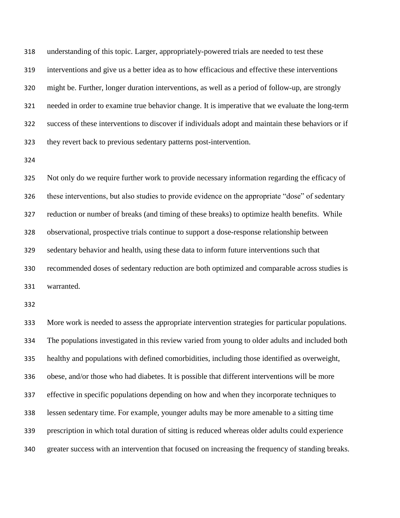understanding of this topic. Larger, appropriately-powered trials are needed to test these interventions and give us a better idea as to how efficacious and effective these interventions might be. Further, longer duration interventions, as well as a period of follow-up, are strongly needed in order to examine true behavior change. It is imperative that we evaluate the long-term success of these interventions to discover if individuals adopt and maintain these behaviors or if they revert back to previous sedentary patterns post-intervention.

 Not only do we require further work to provide necessary information regarding the efficacy of these interventions, but also studies to provide evidence on the appropriate "dose" of sedentary reduction or number of breaks (and timing of these breaks) to optimize health benefits. While observational, prospective trials continue to support a dose-response relationship between sedentary behavior and health, using these data to inform future interventions such that recommended doses of sedentary reduction are both optimized and comparable across studies is warranted.

 More work is needed to assess the appropriate intervention strategies for particular populations. The populations investigated in this review varied from young to older adults and included both healthy and populations with defined comorbidities, including those identified as overweight, obese, and/or those who had diabetes. It is possible that different interventions will be more effective in specific populations depending on how and when they incorporate techniques to lessen sedentary time. For example, younger adults may be more amenable to a sitting time prescription in which total duration of sitting is reduced whereas older adults could experience greater success with an intervention that focused on increasing the frequency of standing breaks.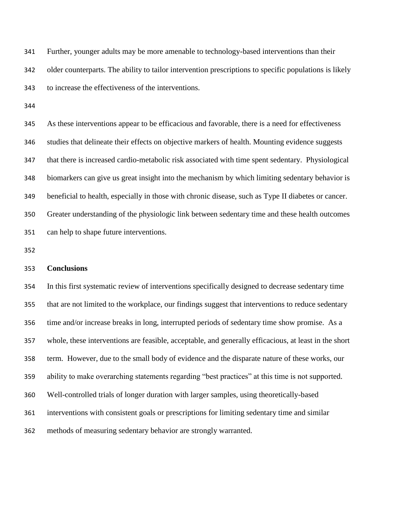Further, younger adults may be more amenable to technology-based interventions than their older counterparts. The ability to tailor intervention prescriptions to specific populations is likely to increase the effectiveness of the interventions.

 As these interventions appear to be efficacious and favorable, there is a need for effectiveness studies that delineate their effects on objective markers of health. Mounting evidence suggests that there is increased cardio-metabolic risk associated with time spent sedentary. Physiological biomarkers can give us great insight into the mechanism by which limiting sedentary behavior is beneficial to health, especially in those with chronic disease, such as Type II diabetes or cancer. Greater understanding of the physiologic link between sedentary time and these health outcomes can help to shape future interventions.

### **Conclusions**

 In this first systematic review of interventions specifically designed to decrease sedentary time that are not limited to the workplace, our findings suggest that interventions to reduce sedentary time and/or increase breaks in long, interrupted periods of sedentary time show promise. As a whole, these interventions are feasible, acceptable, and generally efficacious, at least in the short term. However, due to the small body of evidence and the disparate nature of these works, our ability to make overarching statements regarding "best practices" at this time is not supported. Well-controlled trials of longer duration with larger samples, using theoretically-based interventions with consistent goals or prescriptions for limiting sedentary time and similar methods of measuring sedentary behavior are strongly warranted.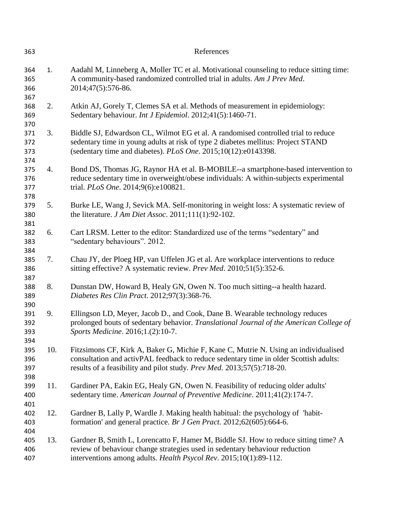| 363                      |     | References                                                                                                                                                                                                                                             |
|--------------------------|-----|--------------------------------------------------------------------------------------------------------------------------------------------------------------------------------------------------------------------------------------------------------|
| 364<br>365<br>366<br>367 | 1.  | Aadahl M, Linneberg A, Moller TC et al. Motivational counseling to reduce sitting time:<br>A community-based randomized controlled trial in adults. Am J Prev Med.<br>2014;47(5):576-86.                                                               |
| 368<br>369<br>370        | 2.  | Atkin AJ, Gorely T, Clemes SA et al. Methods of measurement in epidemiology:<br>Sedentary behaviour. Int J Epidemiol. 2012;41(5):1460-71.                                                                                                              |
| 371<br>372<br>373<br>374 | 3.  | Biddle SJ, Edwardson CL, Wilmot EG et al. A randomised controlled trial to reduce<br>sedentary time in young adults at risk of type 2 diabetes mellitus: Project STAND<br>(sedentary time and diabetes). PLoS One. 2015;10(12):e0143398.               |
| 375<br>376<br>377        | 4.  | Bond DS, Thomas JG, Raynor HA et al. B-MOBILE--a smartphone-based intervention to<br>reduce sedentary time in overweight/obese individuals: A within-subjects experimental<br>trial. PLoS One. 2014;9(6):e100821.                                      |
| 378<br>379<br>380<br>381 | 5.  | Burke LE, Wang J, Sevick MA. Self-monitoring in weight loss: A systematic review of<br>the literature. $JAm Diet Assoc. 2011;111(1):92-102$ .                                                                                                          |
| 382<br>383<br>384        | 6.  | Cart LRSM. Letter to the editor: Standardized use of the terms "sedentary" and<br>"sedentary behaviours". 2012.                                                                                                                                        |
| 385<br>386<br>387        | 7.  | Chau JY, der Ploeg HP, van Uffelen JG et al. Are workplace interventions to reduce<br>sitting effective? A systematic review. Prev Med. 2010;51(5):352-6.                                                                                              |
| 388<br>389<br>390        | 8.  | Dunstan DW, Howard B, Healy GN, Owen N. Too much sitting--a health hazard.<br>Diabetes Res Clin Pract. 2012;97(3):368-76.                                                                                                                              |
| 391<br>392<br>393<br>394 | 9.  | Ellingson LD, Meyer, Jacob D., and Cook, Dane B. Wearable technology reduces<br>prolonged bouts of sedentary behavior. Translational Journal of the American College of<br>Sports Medicine. 2016;1.(2):10-7.                                           |
| 395<br>396<br>397<br>398 | 10. | Fitzsimons CF, Kirk A, Baker G, Michie F, Kane C, Mutrie N. Using an individualised<br>consultation and activPAL feedback to reduce sedentary time in older Scottish adults:<br>results of a feasibility and pilot study. Prev Med. 2013;57(5):718-20. |
| 399<br>400<br>401        | 11. | Gardiner PA, Eakin EG, Healy GN, Owen N. Feasibility of reducing older adults'<br>sedentary time. American Journal of Preventive Medicine. 2011;41(2):174-7.                                                                                           |
| 402<br>403<br>404        | 12. | Gardner B, Lally P, Wardle J. Making health habitual: the psychology of 'habit-<br>formation' and general practice. Br J Gen Pract. 2012;62(605):664-6.                                                                                                |
| 405<br>406<br>407        | 13. | Gardner B, Smith L, Lorencatto F, Hamer M, Biddle SJ. How to reduce sitting time? A<br>review of behaviour change strategies used in sedentary behaviour reduction<br>interventions among adults. Health Psycol Rev. 2015;10(1):89-112.                |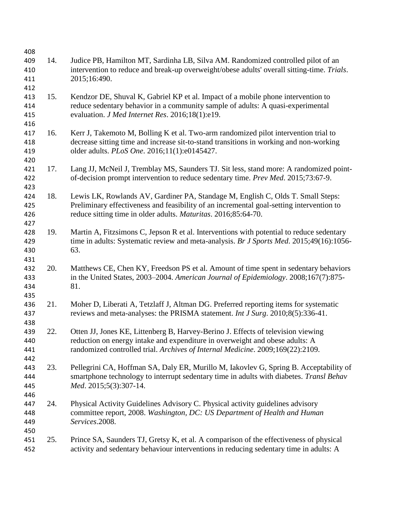| 408 |     |                                                                                            |
|-----|-----|--------------------------------------------------------------------------------------------|
| 409 | 14. | Judice PB, Hamilton MT, Sardinha LB, Silva AM. Randomized controlled pilot of an           |
| 410 |     | intervention to reduce and break-up overweight/obese adults' overall sitting-time. Trials. |
| 411 |     | 2015;16:490.                                                                               |
| 412 |     |                                                                                            |
| 413 | 15. | Kendzor DE, Shuval K, Gabriel KP et al. Impact of a mobile phone intervention to           |
| 414 |     | reduce sedentary behavior in a community sample of adults: A quasi-experimental            |
| 415 |     | evaluation. J Med Internet Res. 2016;18(1):e19.                                            |
| 416 |     |                                                                                            |
| 417 | 16. | Kerr J, Takemoto M, Bolling K et al. Two-arm randomized pilot intervention trial to        |
| 418 |     | decrease sitting time and increase sit-to-stand transitions in working and non-working     |
| 419 |     | older adults. PLoS One. 2016;11(1):e0145427.                                               |
| 420 |     |                                                                                            |
| 421 | 17. | Lang JJ, McNeil J, Tremblay MS, Saunders TJ. Sit less, stand more: A randomized point-     |
| 422 |     | of-decision prompt intervention to reduce sedentary time. Prev Med. 2015;73:67-9.          |
| 423 |     |                                                                                            |
| 424 | 18. | Lewis LK, Rowlands AV, Gardiner PA, Standage M, English C, Olds T. Small Steps:            |
| 425 |     | Preliminary effectiveness and feasibility of an incremental goal-setting intervention to   |
| 426 |     | reduce sitting time in older adults. Maturitas. 2016;85:64-70.                             |
| 427 |     |                                                                                            |
| 428 | 19. | Martin A, Fitzsimons C, Jepson R et al. Interventions with potential to reduce sedentary   |
| 429 |     | time in adults: Systematic review and meta-analysis. Br J Sports Med. 2015;49(16):1056-    |
| 430 |     | 63.                                                                                        |
| 431 |     |                                                                                            |
| 432 | 20. | Matthews CE, Chen KY, Freedson PS et al. Amount of time spent in sedentary behaviors       |
| 433 |     | in the United States, 2003–2004. American Journal of Epidemiology. 2008;167(7):875-        |
| 434 |     | 81.                                                                                        |
| 435 |     |                                                                                            |
| 436 | 21. | Moher D, Liberati A, Tetzlaff J, Altman DG. Preferred reporting items for systematic       |
| 437 |     | reviews and meta-analyses: the PRISMA statement. Int J Surg. 2010;8(5):336-41.             |
| 438 |     |                                                                                            |
| 439 | 22. | Otten JJ, Jones KE, Littenberg B, Harvey-Berino J. Effects of television viewing           |
| 440 |     | reduction on energy intake and expenditure in overweight and obese adults: A               |
| 441 |     | randomized controlled trial. Archives of Internal Medicine. 2009;169(22):2109.             |
| 442 |     |                                                                                            |
| 443 | 23. | Pellegrini CA, Hoffman SA, Daly ER, Murillo M, Iakovlev G, Spring B. Acceptability of      |
| 444 |     | smartphone technology to interrupt sedentary time in adults with diabetes. Transl Behav    |
| 445 |     | Med. 2015;5(3):307-14.                                                                     |
| 446 |     |                                                                                            |
| 447 | 24. | Physical Activity Guidelines Advisory C. Physical activity guidelines advisory             |
| 448 |     | committee report, 2008. Washington, DC: US Department of Health and Human                  |
| 449 |     | Services.2008.                                                                             |
| 450 |     |                                                                                            |
| 451 | 25. | Prince SA, Saunders TJ, Gretsy K, et al. A comparison of the effectiveness of physical     |
| 452 |     | activity and sedentary behaviour interventions in reducing sedentary time in adults: A     |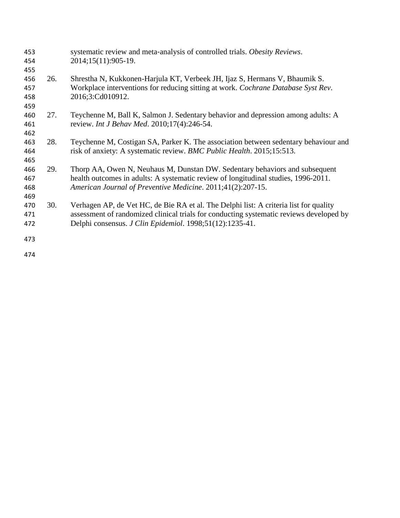| 453 |     | systematic review and meta-analysis of controlled trials. Obesity Reviews.              |
|-----|-----|-----------------------------------------------------------------------------------------|
| 454 |     | 2014;15(11):905-19.                                                                     |
| 455 |     |                                                                                         |
| 456 | 26. | Shrestha N, Kukkonen-Harjula KT, Verbeek JH, Ijaz S, Hermans V, Bhaumik S.              |
| 457 |     | Workplace interventions for reducing sitting at work. Cochrane Database Syst Rev.       |
| 458 |     | 2016;3:Cd010912.                                                                        |
| 459 |     |                                                                                         |
| 460 | 27. | Teychenne M, Ball K, Salmon J. Sedentary behavior and depression among adults: A        |
| 461 |     | review. Int J Behav Med. 2010;17(4):246-54.                                             |
| 462 |     |                                                                                         |
| 463 | 28. | Teychenne M, Costigan SA, Parker K. The association between sedentary behaviour and     |
| 464 |     | risk of anxiety: A systematic review. BMC Public Health. 2015;15:513.                   |
| 465 |     |                                                                                         |
| 466 | 29. | Thorp AA, Owen N, Neuhaus M, Dunstan DW. Sedentary behaviors and subsequent             |
| 467 |     | health outcomes in adults: A systematic review of longitudinal studies, 1996-2011.      |
| 468 |     | American Journal of Preventive Medicine. 2011;41(2):207-15.                             |
| 469 |     |                                                                                         |
| 470 | 30. | Verhagen AP, de Vet HC, de Bie RA et al. The Delphi list: A criteria list for quality   |
| 471 |     | assessment of randomized clinical trials for conducting systematic reviews developed by |
| 472 |     | Delphi consensus. J Clin Epidemiol. 1998;51(12):1235-41.                                |
| 473 |     |                                                                                         |
|     |     |                                                                                         |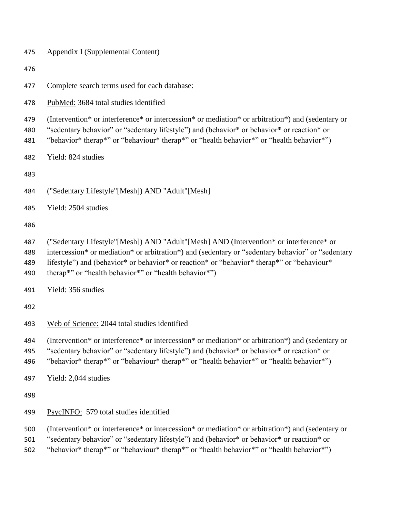| 475                      | Appendix I (Supplemental Content)                                                                                                                                                                                                                                                                                                                  |  |  |  |  |  |  |  |
|--------------------------|----------------------------------------------------------------------------------------------------------------------------------------------------------------------------------------------------------------------------------------------------------------------------------------------------------------------------------------------------|--|--|--|--|--|--|--|
| 476                      |                                                                                                                                                                                                                                                                                                                                                    |  |  |  |  |  |  |  |
| 477                      | Complete search terms used for each database:                                                                                                                                                                                                                                                                                                      |  |  |  |  |  |  |  |
| 478                      | PubMed: 3684 total studies identified                                                                                                                                                                                                                                                                                                              |  |  |  |  |  |  |  |
| 479<br>480<br>481        | (Intervention* or interference* or intercession* or mediation* or arbitration*) and (sedentary or<br>"sedentary behavior" or "sedentary lifestyle") and (behavior* or behavior* or reaction* or<br>"behavior* therap*" or "behaviour* therap*" or "health behavior*" or "health behavior*")                                                        |  |  |  |  |  |  |  |
| 482                      | Yield: 824 studies                                                                                                                                                                                                                                                                                                                                 |  |  |  |  |  |  |  |
| 483                      |                                                                                                                                                                                                                                                                                                                                                    |  |  |  |  |  |  |  |
| 484                      | ("Sedentary Lifestyle"[Mesh]) AND "Adult"[Mesh]                                                                                                                                                                                                                                                                                                    |  |  |  |  |  |  |  |
| 485                      | Yield: 2504 studies                                                                                                                                                                                                                                                                                                                                |  |  |  |  |  |  |  |
| 486                      |                                                                                                                                                                                                                                                                                                                                                    |  |  |  |  |  |  |  |
| 487<br>488<br>489<br>490 | ("Sedentary Lifestyle"[Mesh]) AND "Adult"[Mesh] AND (Intervention* or interference* or<br>intercession* or mediation* or arbitration*) and (sedentary or "sedentary behavior" or "sedentary<br>lifestyle") and (behavior* or behavior* or reaction* or "behavior* therap*" or "behaviour*<br>therap*" or "health behavior*" or "health behavior*") |  |  |  |  |  |  |  |
| 491                      | Yield: 356 studies                                                                                                                                                                                                                                                                                                                                 |  |  |  |  |  |  |  |
| 492                      |                                                                                                                                                                                                                                                                                                                                                    |  |  |  |  |  |  |  |
| 493                      | Web of Science: 2044 total studies identified                                                                                                                                                                                                                                                                                                      |  |  |  |  |  |  |  |
| 494<br>495<br>496        | (Intervention* or interference* or intercession* or mediation* or arbitration*) and (sedentary or<br>"sedentary behavior" or "sedentary lifestyle") and (behavior* or behavior* or reaction* or<br>"behavior* therap*" or "behaviour* therap*" or "health behavior*" or "health behavior*")                                                        |  |  |  |  |  |  |  |
| 497                      | Yield: 2,044 studies                                                                                                                                                                                                                                                                                                                               |  |  |  |  |  |  |  |
| 498                      |                                                                                                                                                                                                                                                                                                                                                    |  |  |  |  |  |  |  |
| 499                      | PsycINFO: 579 total studies identified                                                                                                                                                                                                                                                                                                             |  |  |  |  |  |  |  |
| 500<br>501<br>502        | (Intervention* or interference* or intercession* or mediation* or arbitration*) and (sedentary or<br>"sedentary behavior" or "sedentary lifestyle") and (behavior* or behavior* or reaction* or<br>"behavior* therap*" or "behaviour* therap*" or "health behavior*" or "health behavior*")                                                        |  |  |  |  |  |  |  |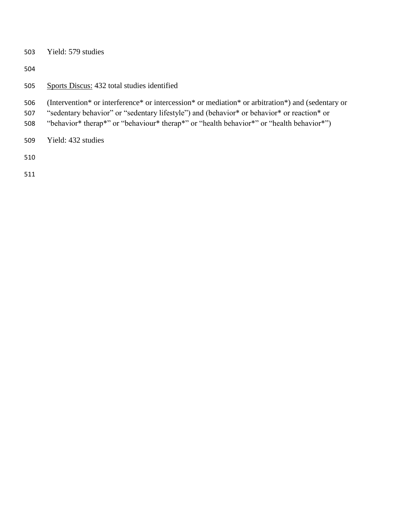- Yield: 579 studies
- 
- Sports Discus: 432 total studies identified
- (Intervention\* or interference\* or intercession\* or mediation\* or arbitration\*) and (sedentary or
- "sedentary behavior" or "sedentary lifestyle") and (behavior\* or behavior\* or reaction\* or
- "behavior\* therap\*" or "behaviour\* therap\*" or "health behavior\*" or "health behavior\*")
- Yield: 432 studies
- 
-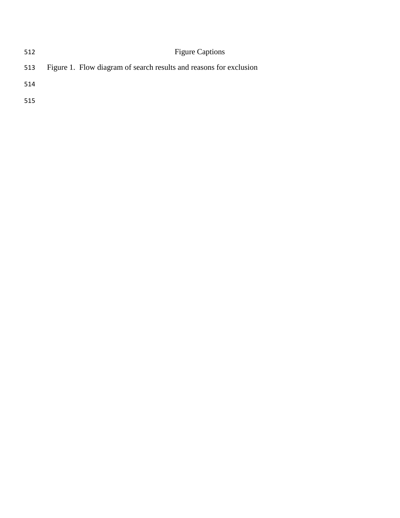| 512 | <b>Figure Captions</b>                                             |
|-----|--------------------------------------------------------------------|
| 513 | Figure 1. Flow diagram of search results and reasons for exclusion |
| 514 |                                                                    |
| 515 |                                                                    |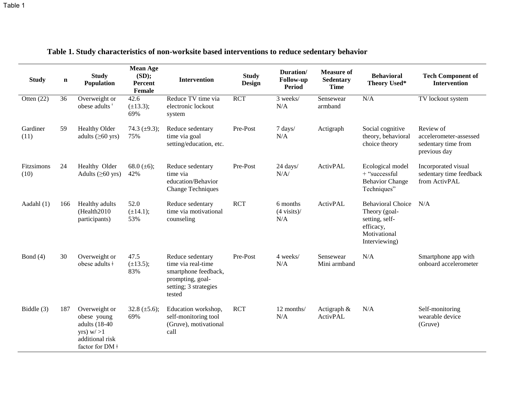| <b>Study</b>       | $\mathbf n$ | <b>Study</b><br>Population                                                                                   | <b>Mean Age</b><br>(SD);<br>Percent<br>Female | <b>Intervention</b>                                                                                                   | <b>Study</b><br><b>Design</b> | Duration/<br><b>Follow-up</b><br><b>Period</b> | <b>Measure of</b><br><b>Sedentary</b><br><b>Time</b> | <b>Behavioral</b><br>Theory Used*                                                                         | <b>Tech Component of</b><br><b>Intervention</b>                            |
|--------------------|-------------|--------------------------------------------------------------------------------------------------------------|-----------------------------------------------|-----------------------------------------------------------------------------------------------------------------------|-------------------------------|------------------------------------------------|------------------------------------------------------|-----------------------------------------------------------------------------------------------------------|----------------------------------------------------------------------------|
| Otten $(22)$       | 36          | Overweight or<br>obese adults <sup>+</sup>                                                                   | 42.6<br>$(\pm 13.3);$<br>69%                  | Reduce TV time via<br>electronic lockout<br>system                                                                    | <b>RCT</b>                    | 3 weeks/<br>N/A                                | Sensewear<br>armband                                 | N/A                                                                                                       | TV lockout system                                                          |
| Gardiner<br>(11)   | 59          | <b>Healthy Older</b><br>adults $(\geq 60 \text{ yrs})$                                                       | 74.3 $(\pm 9.3)$ ;<br>75%                     | Reduce sedentary<br>time via goal<br>setting/education, etc.                                                          | Pre-Post                      | 7 days/<br>N/A                                 | Actigraph                                            | Social cognitive<br>theory, behavioral<br>choice theory                                                   | Review of<br>accelerometer-assessed<br>sedentary time from<br>previous day |
| Fitzsimons<br>(10) | 24          | Healthy Older<br>Adults $(\geq 60 \text{ yrs})$                                                              | 68.0 $(\pm 6)$ ;<br>42%                       | Reduce sedentary<br>time via<br>education/Behavior<br><b>Change Techniques</b>                                        | Pre-Post                      | 24 days/<br>N/A/                               | ActivPAL                                             | Ecological model<br>+ "successful<br><b>Behavior Change</b><br>Techniques"                                | Incorporated visual<br>sedentary time feedback<br>from ActivPAL            |
| Aadahl (1)         | 166         | Healthy adults<br>(Health2010<br>participants)                                                               | 52.0<br>$(\pm 14.1);$<br>53%                  | Reduce sedentary<br>time via motivational<br>counseling                                                               | <b>RCT</b>                    | 6 months<br>$(4 \text{ visits})$ /<br>N/A      | ActivPAL                                             | <b>Behavioral Choice</b><br>Theory (goal-<br>setting, self-<br>efficacy,<br>Motivational<br>Interviewing) | N/A                                                                        |
| Bond $(4)$         | 30          | Overweight or<br>obese adults $\dagger$                                                                      | 47.5<br>$(\pm 13.5);$<br>83%                  | Reduce sedentary<br>time via real-time<br>smartphone feedback,<br>prompting, goal-<br>setting; 3 strategies<br>tested | Pre-Post                      | 4 weeks/<br>N/A                                | Sensewear<br>Mini armband                            | N/A                                                                                                       | Smartphone app with<br>onboard accelerometer                               |
| Biddle (3)         | 187         | Overweight or<br>obese young<br>adults (18-40)<br>yrs) $w/$ >1<br>additional risk<br>factor for DM $\dagger$ | 32.8 $(\pm 5.6)$ ;<br>69%                     | Education workshop,<br>self-monitoring tool<br>(Gruve), motivational<br>call                                          | <b>RCT</b>                    | 12 months/<br>N/A                              | Actigraph $\&$<br>ActivPAL                           | N/A                                                                                                       | Self-monitoring<br>wearable device<br>(Gruve)                              |

**Table 1. Study characteristics of non-worksite based interventions to reduce sedentary behavior**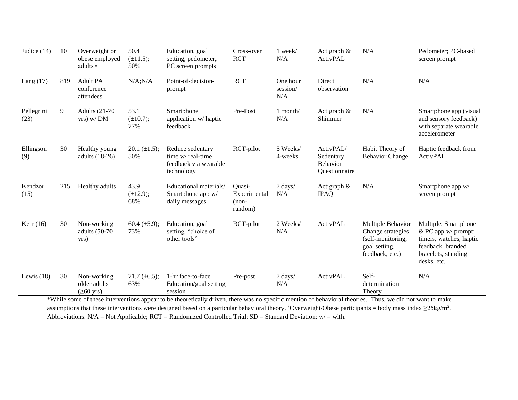| Judice $(14)$      | 10  | Overweight or<br>obese employed<br>adults $\dagger$    | 50.4<br>$(\pm 11.5);$<br>50% | Education, goal<br>setting, pedometer,<br>PC screen prompts                                                                                                                                                         | Cross-over<br><b>RCT</b>                     | 1 week/<br>N/A              | Actigraph &<br>ActivPAL                                    | N/A                                                                                             | Pedometer; PC-based<br>screen prompt                                                                                              |
|--------------------|-----|--------------------------------------------------------|------------------------------|---------------------------------------------------------------------------------------------------------------------------------------------------------------------------------------------------------------------|----------------------------------------------|-----------------------------|------------------------------------------------------------|-------------------------------------------------------------------------------------------------|-----------------------------------------------------------------------------------------------------------------------------------|
| Lang $(17)$        | 819 | <b>Adult PA</b><br>conference<br>attendees             | N/A; N/A                     | Point-of-decision-<br>prompt                                                                                                                                                                                        | <b>RCT</b>                                   | One hour<br>session/<br>N/A | Direct<br>observation                                      | N/A                                                                                             | N/A                                                                                                                               |
| Pellegrini<br>(23) | 9   | Adults $(21-70)$<br>yrs) w/DM                          | 53.1<br>$(\pm 10.7);$<br>77% | Smartphone<br>application w/haptic<br>feedback                                                                                                                                                                      | Pre-Post                                     | $1$ month/<br>N/A           | Actigraph $\&$<br>Shimmer                                  | N/A                                                                                             | Smartphone app (visual<br>and sensory feedback)<br>with separate wearable<br>accelerometer                                        |
| Ellingson<br>(9)   | 30  | Healthy young<br>adults $(18-26)$                      | $20.1 \ (\pm 1.5);$<br>50%   | Reduce sedentary<br>time w/real-time<br>feedback via wearable<br>technology                                                                                                                                         | RCT-pilot                                    | 5 Weeks/<br>4-weeks         | ActivPAL/<br>Sedentary<br><b>Behavior</b><br>Questionnaire | Habit Theory of<br><b>Behavior Change</b>                                                       | Haptic feedback from<br>ActivPAL                                                                                                  |
| Kendzor<br>(15)    | 215 | Healthy adults                                         | 43.9<br>$(\pm 12.9);$<br>68% | Educational materials/<br>Smartphone app w/<br>daily messages                                                                                                                                                       | Quasi-<br>Experimental<br>$(non-$<br>random) | 7 days/<br>N/A              | Actigraph $\&$<br><b>IPAQ</b>                              | N/A                                                                                             | Smartphone app w/<br>screen prompt                                                                                                |
| Kerr $(16)$        | 30  | Non-working<br>adults (50-70)<br>yrs)                  | 60.4 $(\pm 5.9)$ ;<br>73%    | Education, goal<br>setting, "choice of<br>other tools"                                                                                                                                                              | RCT-pilot                                    | 2 Weeks/<br>N/A             | ActivPAL                                                   | Multiple Behavior<br>Change strategies<br>(self-monitoring,<br>goal setting,<br>feedback, etc.) | Multiple: Smartphone<br>& PC app w/ prompt;<br>timers, watches, haptic<br>feedback, branded<br>bracelets, standing<br>desks, etc. |
| Lewis $(18)$       | 30  | Non-working<br>older adults<br>$(\geq 60 \text{ yrs})$ | 71.7 $(\pm 6.5)$ ;<br>63%    | 1-hr face-to-face<br>Education/goal setting<br>session<br>*While some of these interventions appear to be theoretically driven, there was no specific mention of behavioral theories. Thus, we did not want to make | Pre-post                                     | 7 days/<br>N/A              | ActivPAL                                                   | Self-<br>determination<br>Theory                                                                | N/A                                                                                                                               |

assumptions that these interventions were designed based on a particular behavioral theory. <sup>†</sup>Overweight/Obese participants = body mass index  $\geq$ 25kg/m<sup>2</sup>. Abbreviations: N/A = Not Applicable; RCT = Randomized Controlled Trial; SD = Standard Deviation; w/ = with.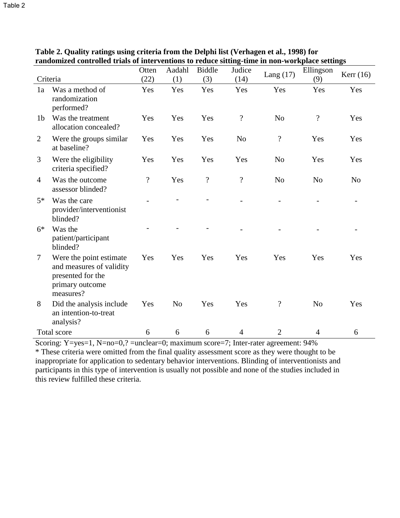|                |                                                                                                          | Otten                    | Aadahl         | <b>Biddle</b>  | Judice                   | Lang $(17)$              | Ellingson                | Kerr $(16)$    |
|----------------|----------------------------------------------------------------------------------------------------------|--------------------------|----------------|----------------|--------------------------|--------------------------|--------------------------|----------------|
| Criteria       |                                                                                                          | (22)                     | (1)            | (3)            | (14)                     |                          | (9)                      |                |
| 1a             | Was a method of<br>randomization<br>performed?                                                           | Yes                      | Yes            | Yes            | Yes                      | Yes                      | Yes                      | Yes            |
| 1 <sub>b</sub> | Was the treatment<br>allocation concealed?                                                               | Yes                      | Yes            | Yes            | $\overline{\cdot}$       | N <sub>o</sub>           | $\overline{\mathcal{L}}$ | Yes            |
| 2              | Were the groups similar<br>at baseline?                                                                  | Yes                      | Yes            | Yes            | N <sub>o</sub>           | $\ddot{?}$               | Yes                      | Yes            |
| 3              | Were the eligibility<br>criteria specified?                                                              | Yes                      | Yes            | Yes            | Yes                      | N <sub>0</sub>           | Yes                      | Yes            |
| $\overline{4}$ | Was the outcome<br>assessor blinded?                                                                     | $\overline{\mathcal{L}}$ | Yes            | $\overline{?}$ | $\overline{\mathcal{L}}$ | N <sub>o</sub>           | N <sub>o</sub>           | N <sub>o</sub> |
| $5*$           | Was the care<br>provider/interventionist<br>blinded?                                                     |                          |                |                |                          |                          |                          |                |
| $6*$           | Was the<br>patient/participant<br>blinded?                                                               |                          |                |                |                          |                          |                          |                |
| $\tau$         | Were the point estimate<br>and measures of validity<br>presented for the<br>primary outcome<br>measures? | Yes                      | Yes            | Yes            | Yes                      | Yes                      | Yes                      | Yes            |
| 8              | Did the analysis include<br>an intention-to-treat<br>analysis?                                           | Yes                      | N <sub>o</sub> | Yes            | Yes                      | $\overline{\mathcal{L}}$ | N <sub>o</sub>           | Yes            |
|                | Total score                                                                                              | 6                        | 6              | 6              | $\overline{4}$           | $\overline{2}$           | $\overline{4}$           | 6              |

**Table 2. Quality ratings using criteria from the Delphi list (Verhagen et al., 1998) for randomized controlled trials of interventions to reduce sitting-time in non-workplace settings** 

Scoring: Y=yes=1, N=no=0,? =unclear=0; maximum score=7; Inter-rater agreement: 94%

\* These criteria were omitted from the final quality assessment score as they were thought to be inappropriate for application to sedentary behavior interventions. Blinding of interventionists and participants in this type of intervention is usually not possible and none of the studies included in this review fulfilled these criteria.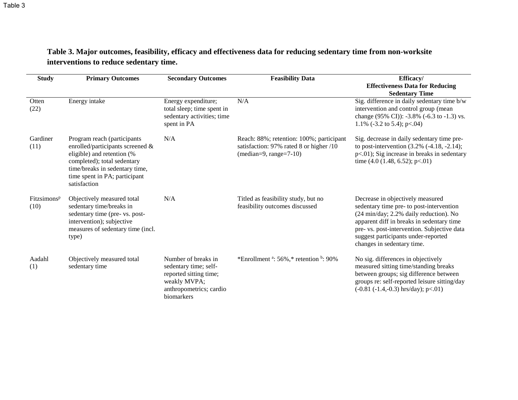| Table 3. Major outcomes, feasibility, efficacy and effectiveness data for reducing sedentary time from non-worksite |
|---------------------------------------------------------------------------------------------------------------------|
| interventions to reduce sedentary time.                                                                             |

| <b>Study</b>                    | <b>Primary Outcomes</b>                                                                                                                                                                                         | <b>Secondary Outcomes</b>                                                                                                       | <b>Feasibility Data</b>                                                                                         | Efficacy/<br><b>Effectiveness Data for Reducing</b><br><b>Sedentary Time</b>                                                                                                                                                                                                            |
|---------------------------------|-----------------------------------------------------------------------------------------------------------------------------------------------------------------------------------------------------------------|---------------------------------------------------------------------------------------------------------------------------------|-----------------------------------------------------------------------------------------------------------------|-----------------------------------------------------------------------------------------------------------------------------------------------------------------------------------------------------------------------------------------------------------------------------------------|
| Otten<br>(22)                   | Energy intake                                                                                                                                                                                                   | Energy expenditure;<br>total sleep; time spent in<br>sedentary activities; time<br>spent in PA                                  | N/A                                                                                                             | Sig. difference in daily sedentary time b/w<br>intervention and control group (mean<br>change (95% CI)): -3.8% (-6.3 to -1.3) vs.<br>1.1% $(-3.2 \text{ to } 5.4)$ ; p $< 0.04$ )                                                                                                       |
| Gardiner<br>(11)                | Program reach (participants<br>enrolled/participants screened &<br>eligible) and retention (%<br>completed); total sedentary<br>time/breaks in sedentary time,<br>time spent in PA; participant<br>satisfaction | N/A                                                                                                                             | Reach: 88%; retention: 100%; participant<br>satisfaction: 97% rated 8 or higher /10<br>$(median=9, range=7-10)$ | Sig. decrease in daily sedentary time pre-<br>to post-intervention $(3.2\%$ $(-4.18, -2.14);$<br>$p<.01$ ); Sig increase in breaks in sedentary<br>time $(4.0 (1.48, 6.52); p<0.01)$                                                                                                    |
| Fitzsimons <sup>p</sup><br>(10) | Objectively measured total<br>sedentary time/breaks in<br>sedentary time (pre- vs. post-<br>intervention); subjective<br>measures of sedentary time (incl.<br>type)                                             | N/A                                                                                                                             | Titled as feasibility study, but no<br>feasibility outcomes discussed                                           | Decrease in objectively measured<br>sedentary time pre- to post-intervention<br>(24 min/day; 2.2% daily reduction). No<br>apparent diff in breaks in sedentary time<br>pre- vs. post-intervention. Subjective data<br>suggest participants under-reported<br>changes in sedentary time. |
| Aadahl<br>(1)                   | Objectively measured total<br>sedentary time                                                                                                                                                                    | Number of breaks in<br>sedentary time; self-<br>reported sitting time;<br>weakly MVPA;<br>anthropometrics; cardio<br>biomarkers | *Enrollment $a: 56\%$ , * retention $b: 90\%$                                                                   | No sig. differences in objectively<br>measured sitting time/standing breaks<br>between groups; sig difference between<br>groups re: self-reported leisure sitting/day<br>$(-0.81 (-1.4, -0.3)$ hrs/day); p<.01)                                                                         |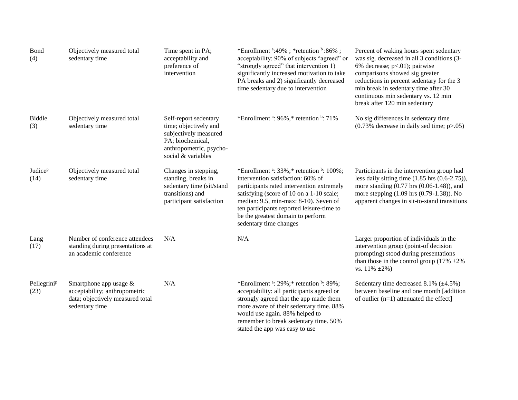| Bond<br>(4)                        | Objectively measured total<br>sedentary time                                                                  | Time spent in PA;<br>acceptability and<br>preference of<br>intervention                                                                      | *Enrollment $4.49\%$ ; *retention $6.86\%$ ;<br>acceptability: 90% of subjects "agreed" or<br>"strongly agreed" that intervention 1)<br>significantly increased motivation to take<br>PA breaks and 2) significantly decreased<br>time sedentary due to intervention                                                               | Percent of waking hours spent sedentary<br>was sig. decreased in all 3 conditions (3-<br>6% decrease; $p<01$ ); pairwise<br>comparisons showed sig greater<br>reductions in percent sedentary for the 3<br>min break in sedentary time after 30<br>continuous min sedentary vs. 12 min<br>break after 120 min sedentary |
|------------------------------------|---------------------------------------------------------------------------------------------------------------|----------------------------------------------------------------------------------------------------------------------------------------------|------------------------------------------------------------------------------------------------------------------------------------------------------------------------------------------------------------------------------------------------------------------------------------------------------------------------------------|-------------------------------------------------------------------------------------------------------------------------------------------------------------------------------------------------------------------------------------------------------------------------------------------------------------------------|
| <b>Biddle</b><br>(3)               | Objectively measured total<br>sedentary time                                                                  | Self-report sedentary<br>time; objectively and<br>subjectively measured<br>PA; biochemical,<br>anthropometric, psycho-<br>social & variables | *Enrollment $a: 96\%,$ * retention $b: 71\%$                                                                                                                                                                                                                                                                                       | No sig differences in sedentary time<br>$(0.73\%$ decrease in daily sed time; $p > .05$ )                                                                                                                                                                                                                               |
| <b>Judice</b> <sup>p</sup><br>(14) | Objectively measured total<br>sedentary time                                                                  | Changes in stepping,<br>standing, breaks in<br>sedentary time (sit/stand<br>transitions) and<br>participant satisfaction                     | *Enrollment $a: 33\%$ ;* retention $b: 100\%$ ;<br>intervention satisfaction: 60% of<br>participants rated intervention extremely<br>satisfying (score of 10 on a 1-10 scale;<br>median: 9.5, min-max: 8-10). Seven of<br>ten participants reported leisure-time to<br>be the greatest domain to perform<br>sedentary time changes | Participants in the intervention group had<br>less daily sitting time $(1.85 \text{ hrs } (0.6-2.75))$ ,<br>more standing $(0.77 \text{ hrs } (0.06-1.48))$ , and<br>more stepping (1.09 hrs (0.79-1.38)). No<br>apparent changes in sit-to-stand transitions                                                           |
| Lang<br>(17)                       | Number of conference attendees<br>standing during presentations at<br>an academic conference                  | N/A                                                                                                                                          | N/A                                                                                                                                                                                                                                                                                                                                | Larger proportion of individuals in the<br>intervention group (point-of decision<br>prompting) stood during presentations<br>than those in the control group (17% $\pm 2\%$ )<br>vs. $11\% \pm 2\%$ )                                                                                                                   |
| Pellegrini <sup>p</sup><br>(23)    | Smartphone app usage &<br>acceptability; anthropometric<br>data; objectively measured total<br>sedentary time | N/A                                                                                                                                          | *Enrollment $a: 29\%$ ; * retention $b: 89\%$ ;<br>acceptability: all participants agreed or<br>strongly agreed that the app made them<br>more aware of their sedentary time. 88%<br>would use again. 88% helped to<br>remember to break sedentary time. 50%<br>stated the app was easy to use                                     | Sedentary time decreased $8.1\%$ ( $\pm 4.5\%$ )<br>between baseline and one month [addition<br>of outlier $(n=1)$ attenuated the effect]                                                                                                                                                                               |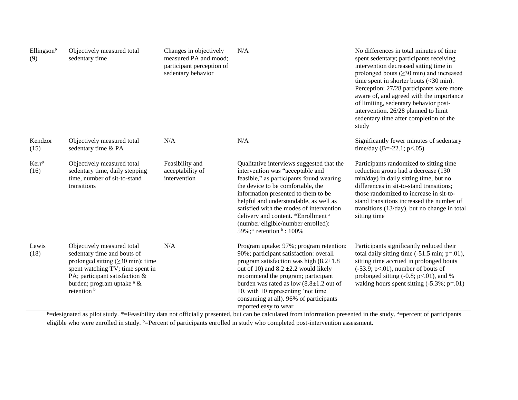| Ellingson <sup>p</sup><br>(9) | Objectively measured total<br>sedentary time                                                                                                                                                                                                           | Changes in objectively<br>measured PA and mood;<br>participant perception of<br>sedentary behavior | N/A                                                                                                                                                                                                                                                                                                                                                                                                                         | No differences in total minutes of time<br>spent sedentary; participants receiving<br>intervention decreased sitting time in<br>prolonged bouts $(\geq 30 \text{ min})$ and increased<br>time spent in shorter bouts $(30 \text{ min}).$<br>Perception: 27/28 participants were more<br>aware of, and agreed with the importance<br>of limiting, sedentary behavior post-<br>intervention. 26/28 planned to limit<br>sedentary time after completion of the<br>study |
|-------------------------------|--------------------------------------------------------------------------------------------------------------------------------------------------------------------------------------------------------------------------------------------------------|----------------------------------------------------------------------------------------------------|-----------------------------------------------------------------------------------------------------------------------------------------------------------------------------------------------------------------------------------------------------------------------------------------------------------------------------------------------------------------------------------------------------------------------------|----------------------------------------------------------------------------------------------------------------------------------------------------------------------------------------------------------------------------------------------------------------------------------------------------------------------------------------------------------------------------------------------------------------------------------------------------------------------|
| Kendzor<br>(15)               | Objectively measured total<br>sedentary time & PA                                                                                                                                                                                                      | N/A                                                                                                | N/A                                                                                                                                                                                                                                                                                                                                                                                                                         | Significantly fewer minutes of sedentary<br>time/day (B=-22.1; p<.05)                                                                                                                                                                                                                                                                                                                                                                                                |
| Kerr <sup>p</sup><br>(16)     | Objectively measured total<br>sedentary time, daily stepping<br>time, number of sit-to-stand<br>transitions                                                                                                                                            | Feasibility and<br>acceptability of<br>intervention                                                | Qualitative interviews suggested that the<br>intervention was "acceptable and<br>feasible," as participants found wearing<br>the device to be comfortable, the<br>information presented to them to be<br>helpful and understandable, as well as<br>satisfied with the modes of intervention<br>delivery and content. *Enrollment <sup>a</sup><br>(number eligible/number enrolled):<br>59%;* retention $\frac{b}{2}$ : 100% | Participants randomized to sitting time<br>reduction group had a decrease (130<br>min/day) in daily sitting time, but no<br>differences in sit-to-stand transitions;<br>those randomized to increase in sit-to-<br>stand transitions increased the number of<br>transitions (13/day), but no change in total<br>sitting time                                                                                                                                         |
| Lewis<br>(18)                 | Objectively measured total<br>sedentary time and bouts of<br>prolonged sitting $(\geq 30 \text{ min})$ ; time<br>spent watching TV; time spent in<br>PA; participant satisfaction &<br>burden; program uptake <sup>a</sup> &<br>retention <sup>b</sup> | N/A                                                                                                | Program uptake: 97%; program retention:<br>90%; participant satisfaction: overall<br>program satisfaction was high $(8.2 \pm 1.8)$<br>out of 10) and $8.2 \pm 2.2$ would likely<br>recommend the program; participant<br>burden was rated as low $(8.8 \pm 1.2)$ out of<br>10, with 10 representing 'not time<br>consuming at all). 96% of participants<br>reported easy to wear                                            | Participants significantly reduced their<br>total daily sitting time $(-51.5 \text{ min}; \text{p} = .01)$ ,<br>sitting time accrued in prolonged bouts<br>$(-53.9; p<.01)$ , number of bouts of<br>prolonged sitting $(-0.8; p<.01)$ , and %<br>waking hours spent sitting $(-5.3\%; p=.01)$                                                                                                                                                                        |

 $p=$ designated as pilot study. \*=Feasibility data not officially presented, but can be calculated from information presented in the study.  $a=$ percent of participants eligible who were enrolled in study. b=Percent of participants enrolled in study who completed post-intervention assessment.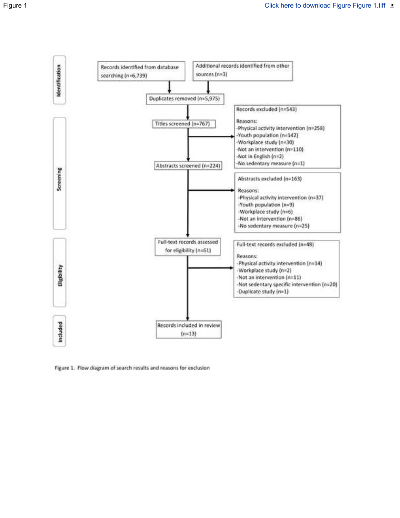

Figure 1. Flow diagram of search results and reasons for exclusion